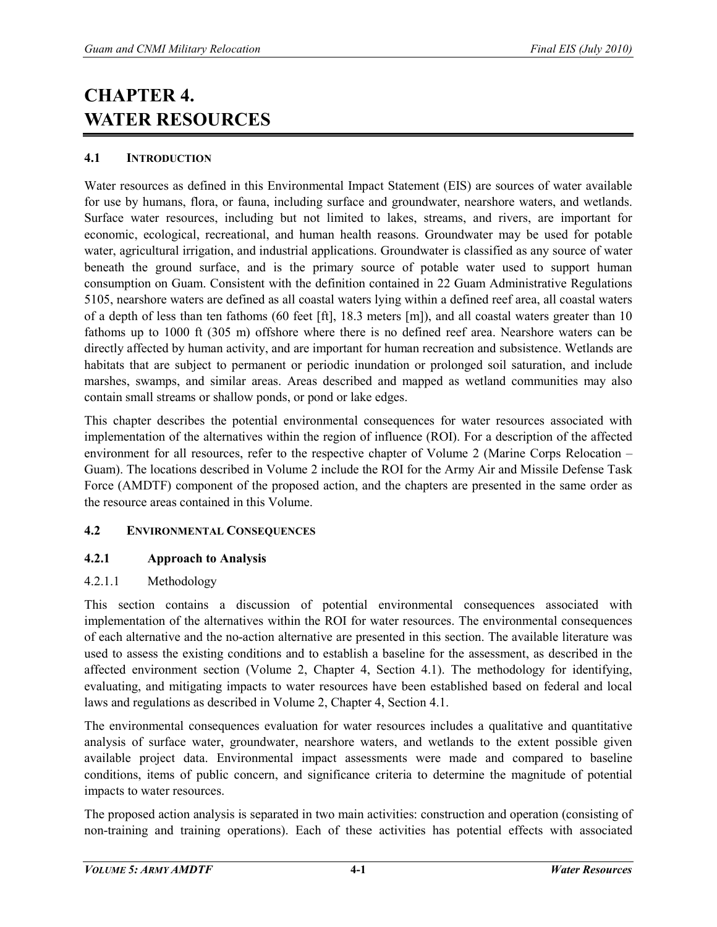# **CHAPTER 4. WATER RESOURCES**

# **4.1 INTRODUCTION**

Water resources as defined in this Environmental Impact Statement (EIS) are sources of water available for use by humans, flora, or fauna, including surface and groundwater, nearshore waters, and wetlands. Surface water resources, including but not limited to lakes, streams, and rivers, are important for economic, ecological, recreational, and human health reasons. Groundwater may be used for potable water, agricultural irrigation, and industrial applications. Groundwater is classified as any source of water beneath the ground surface, and is the primary source of potable water used to support human consumption on Guam. Consistent with the definition contained in 22 Guam Administrative Regulations 5105, nearshore waters are defined as all coastal waters lying within a defined reef area, all coastal waters of a depth of less than ten fathoms (60 feet [ft], 18.3 meters [m]), and all coastal waters greater than 10 fathoms up to 1000 ft (305 m) offshore where there is no defined reef area. Nearshore waters can be directly affected by human activity, and are important for human recreation and subsistence. Wetlands are habitats that are subject to permanent or periodic inundation or prolonged soil saturation, and include marshes, swamps, and similar areas. Areas described and mapped as wetland communities may also contain small streams or shallow ponds, or pond or lake edges.

This chapter describes the potential environmental consequences for water resources associated with implementation of the alternatives within the region of influence (ROI). For a description of the affected environment for all resources, refer to the respective chapter of Volume 2 (Marine Corps Relocation – Guam). The locations described in Volume 2 include the ROI for the Army Air and Missile Defense Task Force (AMDTF) component of the proposed action, and the chapters are presented in the same order as the resource areas contained in this Volume.

# **4.2 ENVIRONMENTAL CONSEQUENCES**

# **4.2.1 Approach to Analysis**

# 4.2.1.1 Methodology

This section contains a discussion of potential environmental consequences associated with implementation of the alternatives within the ROI for water resources. The environmental consequences of each alternative and the no-action alternative are presented in this section. The available literature was used to assess the existing conditions and to establish a baseline for the assessment, as described in the affected environment section (Volume 2, Chapter 4, Section 4.1). The methodology for identifying, evaluating, and mitigating impacts to water resources have been established based on federal and local laws and regulations as described in Volume 2, Chapter 4, Section 4.1.

The environmental consequences evaluation for water resources includes a qualitative and quantitative analysis of surface water, groundwater, nearshore waters, and wetlands to the extent possible given available project data. Environmental impact assessments were made and compared to baseline conditions, items of public concern, and significance criteria to determine the magnitude of potential impacts to water resources.

The proposed action analysis is separated in two main activities: construction and operation (consisting of non-training and training operations). Each of these activities has potential effects with associated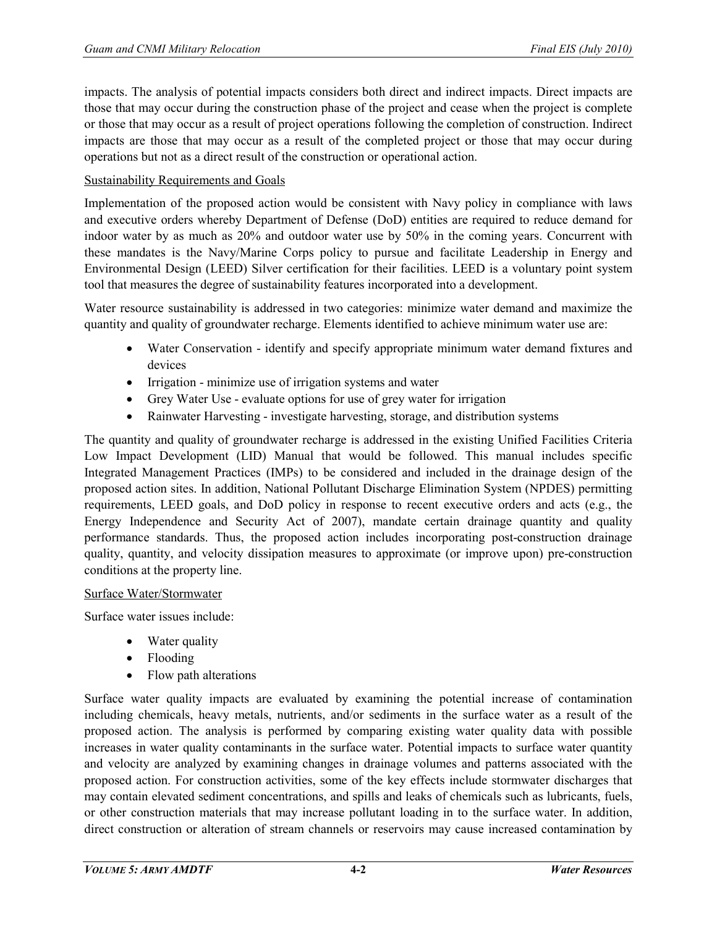impacts. The analysis of potential impacts considers both direct and indirect impacts. Direct impacts are those that may occur during the construction phase of the project and cease when the project is complete or those that may occur as a result of project operations following the completion of construction. Indirect impacts are those that may occur as a result of the completed project or those that may occur during operations but not as a direct result of the construction or operational action.

### Sustainability Requirements and Goals

Implementation of the proposed action would be consistent with Navy policy in compliance with laws and executive orders whereby Department of Defense (DoD) entities are required to reduce demand for indoor water by as much as 20% and outdoor water use by 50% in the coming years. Concurrent with these mandates is the Navy/Marine Corps policy to pursue and facilitate Leadership in Energy and Environmental Design (LEED) Silver certification for their facilities. LEED is a voluntary point system tool that measures the degree of sustainability features incorporated into a development.

Water resource sustainability is addressed in two categories: minimize water demand and maximize the quantity and quality of groundwater recharge. Elements identified to achieve minimum water use are:

- Water Conservation identify and specify appropriate minimum water demand fixtures and devices
- Irrigation minimize use of irrigation systems and water
- Grey Water Use evaluate options for use of grey water for irrigation
- Rainwater Harvesting investigate harvesting, storage, and distribution systems

The quantity and quality of groundwater recharge is addressed in the existing Unified Facilities Criteria Low Impact Development (LID) Manual that would be followed. This manual includes specific Integrated Management Practices (IMPs) to be considered and included in the drainage design of the proposed action sites. In addition, National Pollutant Discharge Elimination System (NPDES) permitting requirements, LEED goals, and DoD policy in response to recent executive orders and acts (e.g., the Energy Independence and Security Act of 2007), mandate certain drainage quantity and quality performance standards. Thus, the proposed action includes incorporating post-construction drainage quality, quantity, and velocity dissipation measures to approximate (or improve upon) pre-construction conditions at the property line.

### Surface Water/Stormwater

Surface water issues include:

- Water quality
- Flooding
- Flow path alterations

Surface water quality impacts are evaluated by examining the potential increase of contamination including chemicals, heavy metals, nutrients, and/or sediments in the surface water as a result of the proposed action. The analysis is performed by comparing existing water quality data with possible increases in water quality contaminants in the surface water. Potential impacts to surface water quantity and velocity are analyzed by examining changes in drainage volumes and patterns associated with the proposed action. For construction activities, some of the key effects include stormwater discharges that may contain elevated sediment concentrations, and spills and leaks of chemicals such as lubricants, fuels, or other construction materials that may increase pollutant loading in to the surface water. In addition, direct construction or alteration of stream channels or reservoirs may cause increased contamination by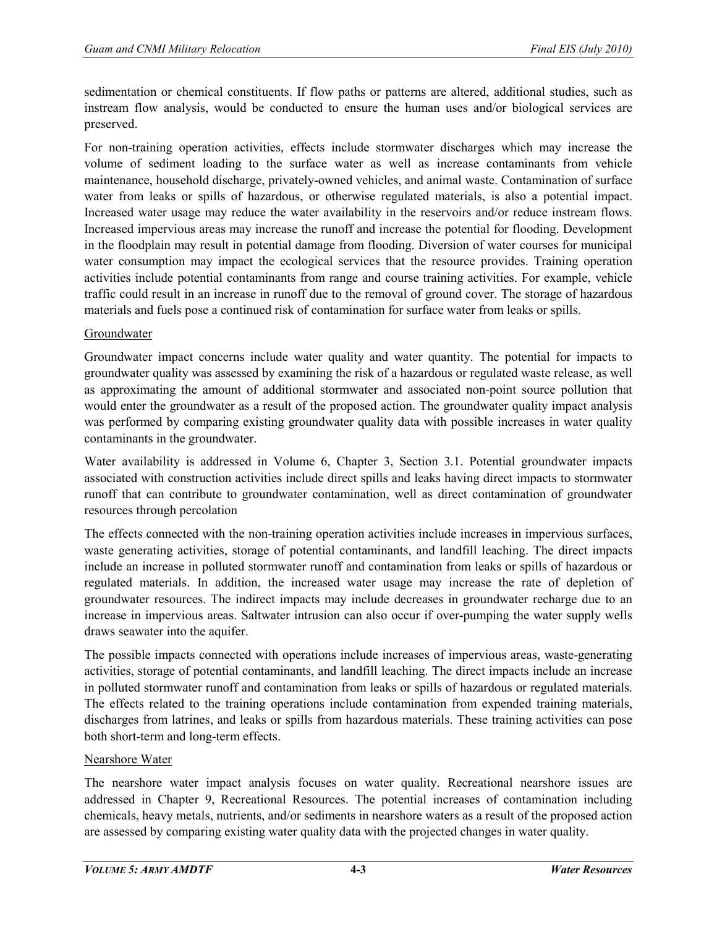sedimentation or chemical constituents. If flow paths or patterns are altered, additional studies, such as instream flow analysis, would be conducted to ensure the human uses and/or biological services are preserved.

For non-training operation activities, effects include stormwater discharges which may increase the volume of sediment loading to the surface water as well as increase contaminants from vehicle maintenance, household discharge, privately-owned vehicles, and animal waste. Contamination of surface water from leaks or spills of hazardous, or otherwise regulated materials, is also a potential impact. Increased water usage may reduce the water availability in the reservoirs and/or reduce instream flows. Increased impervious areas may increase the runoff and increase the potential for flooding. Development in the floodplain may result in potential damage from flooding. Diversion of water courses for municipal water consumption may impact the ecological services that the resource provides. Training operation activities include potential contaminants from range and course training activities. For example, vehicle traffic could result in an increase in runoff due to the removal of ground cover. The storage of hazardous materials and fuels pose a continued risk of contamination for surface water from leaks or spills.

# Groundwater

Groundwater impact concerns include water quality and water quantity. The potential for impacts to groundwater quality was assessed by examining the risk of a hazardous or regulated waste release, as well as approximating the amount of additional stormwater and associated non-point source pollution that would enter the groundwater as a result of the proposed action. The groundwater quality impact analysis was performed by comparing existing groundwater quality data with possible increases in water quality contaminants in the groundwater.

Water availability is addressed in Volume 6, Chapter 3, Section 3.1. Potential groundwater impacts associated with construction activities include direct spills and leaks having direct impacts to stormwater runoff that can contribute to groundwater contamination, well as direct contamination of groundwater resources through percolation

The effects connected with the non-training operation activities include increases in impervious surfaces, waste generating activities, storage of potential contaminants, and landfill leaching. The direct impacts include an increase in polluted stormwater runoff and contamination from leaks or spills of hazardous or regulated materials. In addition, the increased water usage may increase the rate of depletion of groundwater resources. The indirect impacts may include decreases in groundwater recharge due to an increase in impervious areas. Saltwater intrusion can also occur if over-pumping the water supply wells draws seawater into the aquifer.

The possible impacts connected with operations include increases of impervious areas, waste-generating activities, storage of potential contaminants, and landfill leaching. The direct impacts include an increase in polluted stormwater runoff and contamination from leaks or spills of hazardous or regulated materials. The effects related to the training operations include contamination from expended training materials, discharges from latrines, and leaks or spills from hazardous materials. These training activities can pose both short-term and long-term effects.

### Nearshore Water

The nearshore water impact analysis focuses on water quality. Recreational nearshore issues are addressed in Chapter 9, Recreational Resources. The potential increases of contamination including chemicals, heavy metals, nutrients, and/or sediments in nearshore waters as a result of the proposed action are assessed by comparing existing water quality data with the projected changes in water quality.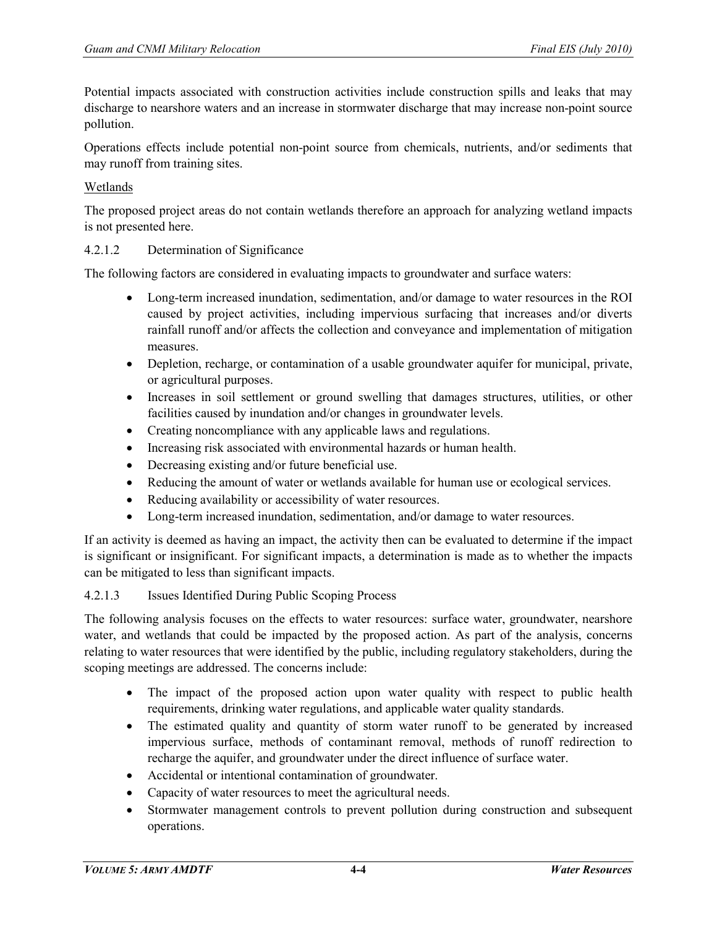Potential impacts associated with construction activities include construction spills and leaks that may discharge to nearshore waters and an increase in stormwater discharge that may increase non-point source pollution.

Operations effects include potential non-point source from chemicals, nutrients, and/or sediments that may runoff from training sites.

### Wetlands

The proposed project areas do not contain wetlands therefore an approach for analyzing wetland impacts is not presented here.

### 4.2.1.2 Determination of Significance

The following factors are considered in evaluating impacts to groundwater and surface waters:

- Long-term increased inundation, sedimentation, and/or damage to water resources in the ROI caused by project activities, including impervious surfacing that increases and/or diverts rainfall runoff and/or affects the collection and conveyance and implementation of mitigation measures.
- Depletion, recharge, or contamination of a usable groundwater aquifer for municipal, private, or agricultural purposes.
- Increases in soil settlement or ground swelling that damages structures, utilities, or other facilities caused by inundation and/or changes in groundwater levels.
- Creating noncompliance with any applicable laws and regulations.
- Increasing risk associated with environmental hazards or human health.
- Decreasing existing and/or future beneficial use.
- Reducing the amount of water or wetlands available for human use or ecological services.
- Reducing availability or accessibility of water resources.
- Long-term increased inundation, sedimentation, and/or damage to water resources.

If an activity is deemed as having an impact, the activity then can be evaluated to determine if the impact is significant or insignificant. For significant impacts, a determination is made as to whether the impacts can be mitigated to less than significant impacts.

### 4.2.1.3 Issues Identified During Public Scoping Process

The following analysis focuses on the effects to water resources: surface water, groundwater, nearshore water, and wetlands that could be impacted by the proposed action. As part of the analysis, concerns relating to water resources that were identified by the public, including regulatory stakeholders, during the scoping meetings are addressed. The concerns include:

- The impact of the proposed action upon water quality with respect to public health requirements, drinking water regulations, and applicable water quality standards.
- The estimated quality and quantity of storm water runoff to be generated by increased impervious surface, methods of contaminant removal, methods of runoff redirection to recharge the aquifer, and groundwater under the direct influence of surface water.
- Accidental or intentional contamination of groundwater.
- Capacity of water resources to meet the agricultural needs.
- Stormwater management controls to prevent pollution during construction and subsequent operations.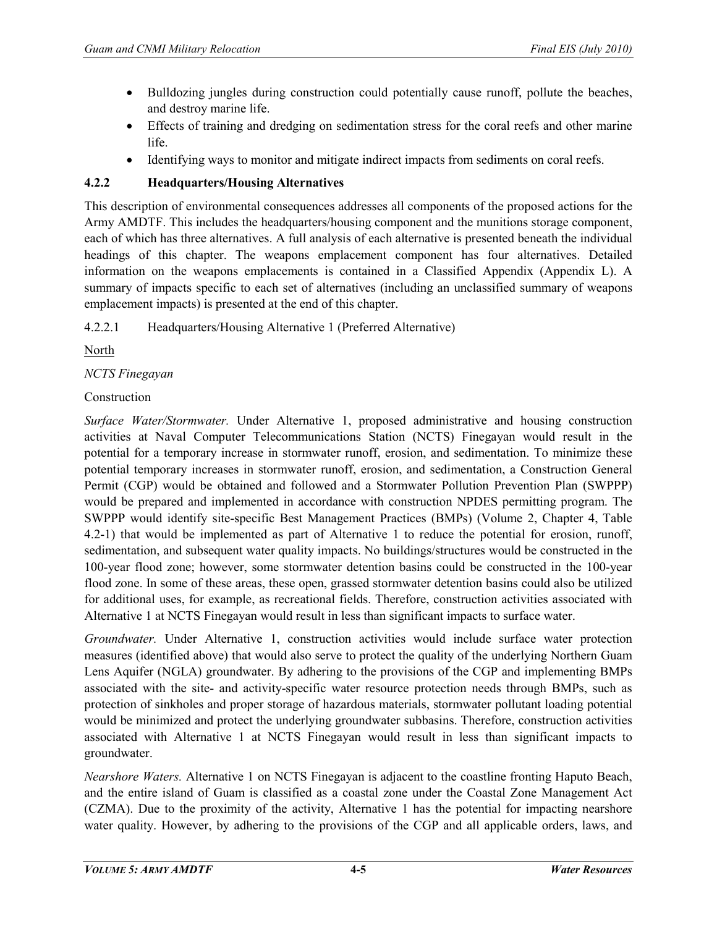- Bulldozing jungles during construction could potentially cause runoff, pollute the beaches, and destroy marine life.
- Effects of training and dredging on sedimentation stress for the coral reefs and other marine life.
- Identifying ways to monitor and mitigate indirect impacts from sediments on coral reefs.

# **4.2.2 Headquarters/Housing Alternatives**

This description of environmental consequences addresses all components of the proposed actions for the Army AMDTF. This includes the headquarters/housing component and the munitions storage component, each of which has three alternatives. A full analysis of each alternative is presented beneath the individual headings of this chapter. The weapons emplacement component has four alternatives. Detailed information on the weapons emplacements is contained in a Classified Appendix (Appendix L). A summary of impacts specific to each set of alternatives (including an unclassified summary of weapons emplacement impacts) is presented at the end of this chapter.

4.2.2.1 Headquarters/Housing Alternative 1 (Preferred Alternative)

North

# *NCTS Finegayan*

# Construction

*Surface Water/Stormwater.* Under Alternative 1, proposed administrative and housing construction activities at Naval Computer Telecommunications Station (NCTS) Finegayan would result in the potential for a temporary increase in stormwater runoff, erosion, and sedimentation. To minimize these potential temporary increases in stormwater runoff, erosion, and sedimentation, a Construction General Permit (CGP) would be obtained and followed and a Stormwater Pollution Prevention Plan (SWPPP) would be prepared and implemented in accordance with construction NPDES permitting program. The SWPPP would identify site-specific Best Management Practices (BMPs) (Volume 2, Chapter 4, Table 4.2-1) that would be implemented as part of Alternative 1 to reduce the potential for erosion, runoff, sedimentation, and subsequent water quality impacts. No buildings/structures would be constructed in the 100-year flood zone; however, some stormwater detention basins could be constructed in the 100-year flood zone. In some of these areas, these open, grassed stormwater detention basins could also be utilized for additional uses, for example, as recreational fields. Therefore, construction activities associated with Alternative 1 at NCTS Finegayan would result in less than significant impacts to surface water.

*Groundwater.* Under Alternative 1, construction activities would include surface water protection measures (identified above) that would also serve to protect the quality of the underlying Northern Guam Lens Aquifer (NGLA) groundwater. By adhering to the provisions of the CGP and implementing BMPs associated with the site- and activity-specific water resource protection needs through BMPs, such as protection of sinkholes and proper storage of hazardous materials, stormwater pollutant loading potential would be minimized and protect the underlying groundwater subbasins. Therefore, construction activities associated with Alternative 1 at NCTS Finegayan would result in less than significant impacts to groundwater.

*Nearshore Waters.* Alternative 1 on NCTS Finegayan is adjacent to the coastline fronting Haputo Beach, and the entire island of Guam is classified as a coastal zone under the Coastal Zone Management Act (CZMA). Due to the proximity of the activity, Alternative 1 has the potential for impacting nearshore water quality. However, by adhering to the provisions of the CGP and all applicable orders, laws, and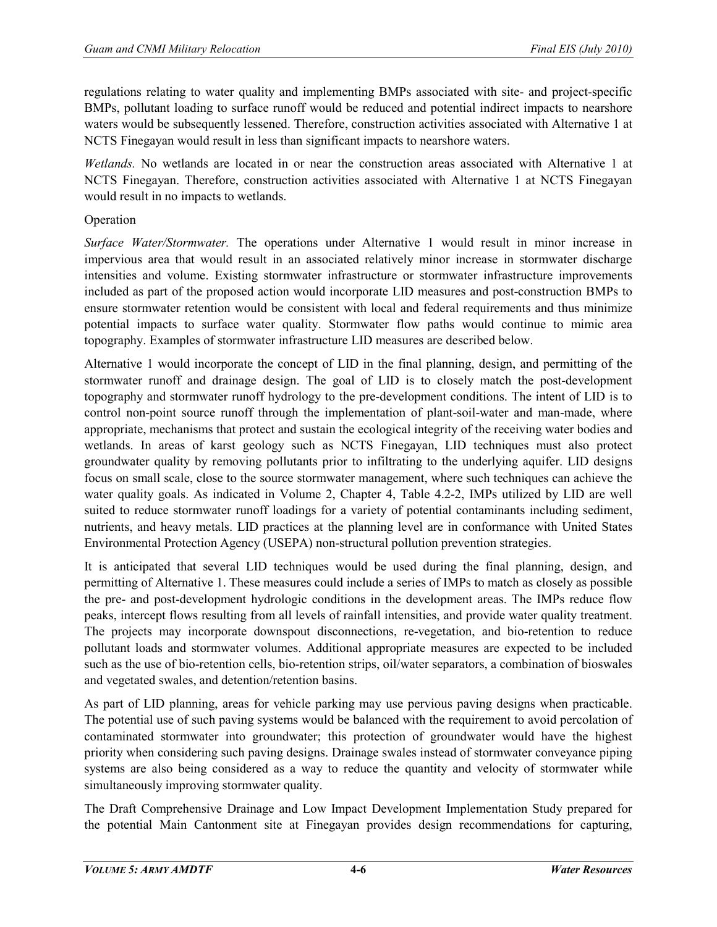regulations relating to water quality and implementing BMPs associated with site- and project-specific BMPs, pollutant loading to surface runoff would be reduced and potential indirect impacts to nearshore waters would be subsequently lessened. Therefore, construction activities associated with Alternative 1 at NCTS Finegayan would result in less than significant impacts to nearshore waters.

*Wetlands.* No wetlands are located in or near the construction areas associated with Alternative 1 at NCTS Finegayan. Therefore, construction activities associated with Alternative 1 at NCTS Finegayan would result in no impacts to wetlands.

### Operation

*Surface Water/Stormwater.* The operations under Alternative 1 would result in minor increase in impervious area that would result in an associated relatively minor increase in stormwater discharge intensities and volume. Existing stormwater infrastructure or stormwater infrastructure improvements included as part of the proposed action would incorporate LID measures and post-construction BMPs to ensure stormwater retention would be consistent with local and federal requirements and thus minimize potential impacts to surface water quality. Stormwater flow paths would continue to mimic area topography. Examples of stormwater infrastructure LID measures are described below.

Alternative 1 would incorporate the concept of LID in the final planning, design, and permitting of the stormwater runoff and drainage design. The goal of LID is to closely match the post-development topography and stormwater runoff hydrology to the pre-development conditions. The intent of LID is to control non-point source runoff through the implementation of plant-soil-water and man-made, where appropriate, mechanisms that protect and sustain the ecological integrity of the receiving water bodies and wetlands. In areas of karst geology such as NCTS Finegayan, LID techniques must also protect groundwater quality by removing pollutants prior to infiltrating to the underlying aquifer. LID designs focus on small scale, close to the source stormwater management, where such techniques can achieve the water quality goals. As indicated in Volume 2, Chapter 4, Table 4.2-2, IMPs utilized by LID are well suited to reduce stormwater runoff loadings for a variety of potential contaminants including sediment, nutrients, and heavy metals. LID practices at the planning level are in conformance with United States Environmental Protection Agency (USEPA) non-structural pollution prevention strategies.

It is anticipated that several LID techniques would be used during the final planning, design, and permitting of Alternative 1. These measures could include a series of IMPs to match as closely as possible the pre- and post-development hydrologic conditions in the development areas. The IMPs reduce flow peaks, intercept flows resulting from all levels of rainfall intensities, and provide water quality treatment. The projects may incorporate downspout disconnections, re-vegetation, and bio-retention to reduce pollutant loads and stormwater volumes. Additional appropriate measures are expected to be included such as the use of bio-retention cells, bio-retention strips, oil/water separators, a combination of bioswales and vegetated swales, and detention/retention basins.

As part of LID planning, areas for vehicle parking may use pervious paving designs when practicable. The potential use of such paving systems would be balanced with the requirement to avoid percolation of contaminated stormwater into groundwater; this protection of groundwater would have the highest priority when considering such paving designs. Drainage swales instead of stormwater conveyance piping systems are also being considered as a way to reduce the quantity and velocity of stormwater while simultaneously improving stormwater quality.

The Draft Comprehensive Drainage and Low Impact Development Implementation Study prepared for the potential Main Cantonment site at Finegayan provides design recommendations for capturing,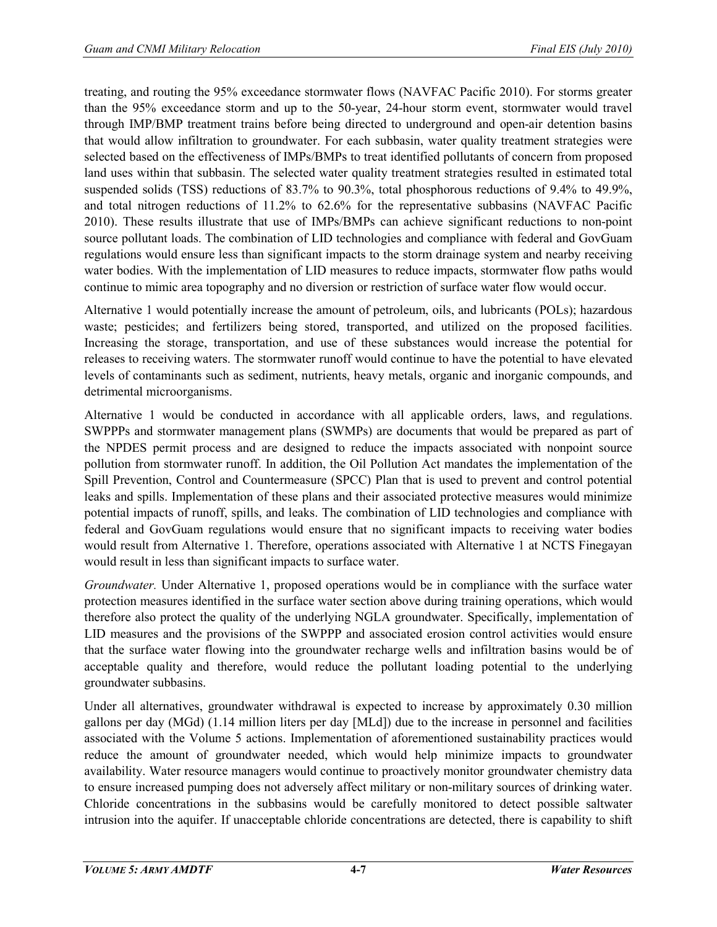treating, and routing the 95% exceedance stormwater flows (NAVFAC Pacific 2010). For storms greater than the 95% exceedance storm and up to the 50-year, 24-hour storm event, stormwater would travel through IMP/BMP treatment trains before being directed to underground and open-air detention basins that would allow infiltration to groundwater. For each subbasin, water quality treatment strategies were selected based on the effectiveness of IMPs/BMPs to treat identified pollutants of concern from proposed land uses within that subbasin. The selected water quality treatment strategies resulted in estimated total suspended solids (TSS) reductions of 83.7% to 90.3%, total phosphorous reductions of 9.4% to 49.9%, and total nitrogen reductions of 11.2% to 62.6% for the representative subbasins (NAVFAC Pacific 2010). These results illustrate that use of IMPs/BMPs can achieve significant reductions to non-point source pollutant loads. The combination of LID technologies and compliance with federal and GovGuam regulations would ensure less than significant impacts to the storm drainage system and nearby receiving water bodies. With the implementation of LID measures to reduce impacts, stormwater flow paths would continue to mimic area topography and no diversion or restriction of surface water flow would occur.

Alternative 1 would potentially increase the amount of petroleum, oils, and lubricants (POLs); hazardous waste; pesticides; and fertilizers being stored, transported, and utilized on the proposed facilities. Increasing the storage, transportation, and use of these substances would increase the potential for releases to receiving waters. The stormwater runoff would continue to have the potential to have elevated levels of contaminants such as sediment, nutrients, heavy metals, organic and inorganic compounds, and detrimental microorganisms.

Alternative 1 would be conducted in accordance with all applicable orders, laws, and regulations. SWPPPs and stormwater management plans (SWMPs) are documents that would be prepared as part of the NPDES permit process and are designed to reduce the impacts associated with nonpoint source pollution from stormwater runoff. In addition, the Oil Pollution Act mandates the implementation of the Spill Prevention, Control and Countermeasure (SPCC) Plan that is used to prevent and control potential leaks and spills. Implementation of these plans and their associated protective measures would minimize potential impacts of runoff, spills, and leaks. The combination of LID technologies and compliance with federal and GovGuam regulations would ensure that no significant impacts to receiving water bodies would result from Alternative 1. Therefore, operations associated with Alternative 1 at NCTS Finegayan would result in less than significant impacts to surface water.

*Groundwater.* Under Alternative 1, proposed operations would be in compliance with the surface water protection measures identified in the surface water section above during training operations, which would therefore also protect the quality of the underlying NGLA groundwater. Specifically, implementation of LID measures and the provisions of the SWPPP and associated erosion control activities would ensure that the surface water flowing into the groundwater recharge wells and infiltration basins would be of acceptable quality and therefore, would reduce the pollutant loading potential to the underlying groundwater subbasins.

Under all alternatives, groundwater withdrawal is expected to increase by approximately 0.30 million gallons per day (MGd) (1.14 million liters per day [MLd]) due to the increase in personnel and facilities associated with the Volume 5 actions. Implementation of aforementioned sustainability practices would reduce the amount of groundwater needed, which would help minimize impacts to groundwater availability. Water resource managers would continue to proactively monitor groundwater chemistry data to ensure increased pumping does not adversely affect military or non-military sources of drinking water. Chloride concentrations in the subbasins would be carefully monitored to detect possible saltwater intrusion into the aquifer. If unacceptable chloride concentrations are detected, there is capability to shift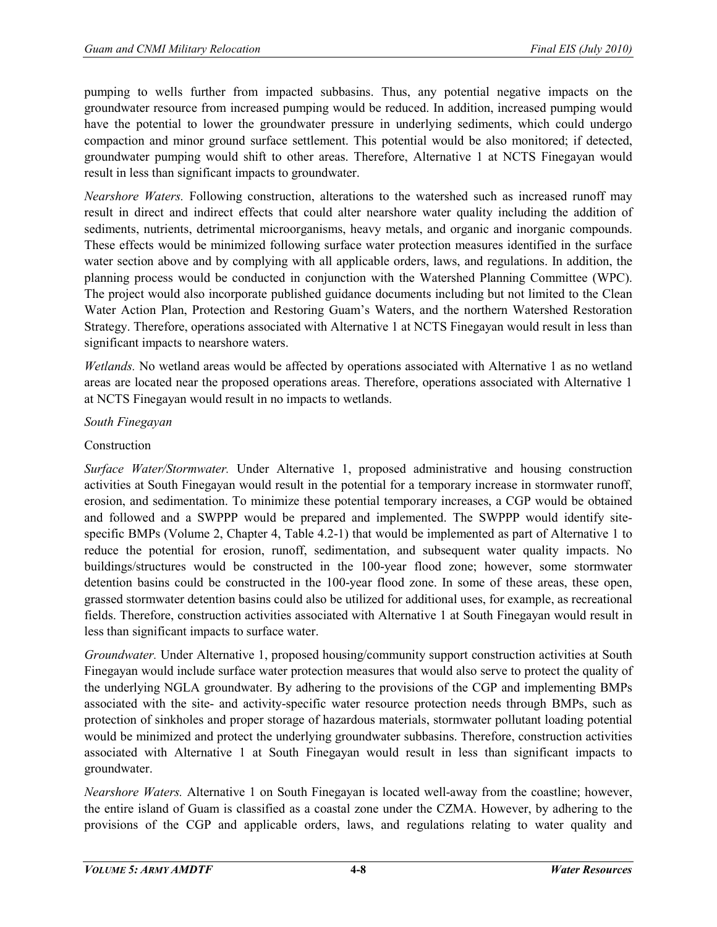pumping to wells further from impacted subbasins. Thus, any potential negative impacts on the groundwater resource from increased pumping would be reduced. In addition, increased pumping would have the potential to lower the groundwater pressure in underlying sediments, which could undergo compaction and minor ground surface settlement. This potential would be also monitored; if detected, groundwater pumping would shift to other areas. Therefore, Alternative 1 at NCTS Finegayan would result in less than significant impacts to groundwater.

*Nearshore Waters.* Following construction, alterations to the watershed such as increased runoff may result in direct and indirect effects that could alter nearshore water quality including the addition of sediments, nutrients, detrimental microorganisms, heavy metals, and organic and inorganic compounds. These effects would be minimized following surface water protection measures identified in the surface water section above and by complying with all applicable orders, laws, and regulations. In addition, the planning process would be conducted in conjunction with the Watershed Planning Committee (WPC). The project would also incorporate published guidance documents including but not limited to the Clean Water Action Plan, Protection and Restoring Guam's Waters, and the northern Watershed Restoration Strategy. Therefore, operations associated with Alternative 1 at NCTS Finegayan would result in less than significant impacts to nearshore waters.

*Wetlands.* No wetland areas would be affected by operations associated with Alternative 1 as no wetland areas are located near the proposed operations areas. Therefore, operations associated with Alternative 1 at NCTS Finegayan would result in no impacts to wetlands.

### *South Finegayan*

### Construction

*Surface Water/Stormwater.* Under Alternative 1, proposed administrative and housing construction activities at South Finegayan would result in the potential for a temporary increase in stormwater runoff, erosion, and sedimentation. To minimize these potential temporary increases, a CGP would be obtained and followed and a SWPPP would be prepared and implemented. The SWPPP would identify sitespecific BMPs (Volume 2, Chapter 4, Table 4.2-1) that would be implemented as part of Alternative 1 to reduce the potential for erosion, runoff, sedimentation, and subsequent water quality impacts. No buildings/structures would be constructed in the 100-year flood zone; however, some stormwater detention basins could be constructed in the 100-year flood zone. In some of these areas, these open, grassed stormwater detention basins could also be utilized for additional uses, for example, as recreational fields. Therefore, construction activities associated with Alternative 1 at South Finegayan would result in less than significant impacts to surface water.

*Groundwater.* Under Alternative 1, proposed housing/community support construction activities at South Finegayan would include surface water protection measures that would also serve to protect the quality of the underlying NGLA groundwater. By adhering to the provisions of the CGP and implementing BMPs associated with the site- and activity-specific water resource protection needs through BMPs, such as protection of sinkholes and proper storage of hazardous materials, stormwater pollutant loading potential would be minimized and protect the underlying groundwater subbasins. Therefore, construction activities associated with Alternative 1 at South Finegayan would result in less than significant impacts to groundwater.

*Nearshore Waters.* Alternative 1 on South Finegayan is located well-away from the coastline; however, the entire island of Guam is classified as a coastal zone under the CZMA. However, by adhering to the provisions of the CGP and applicable orders, laws, and regulations relating to water quality and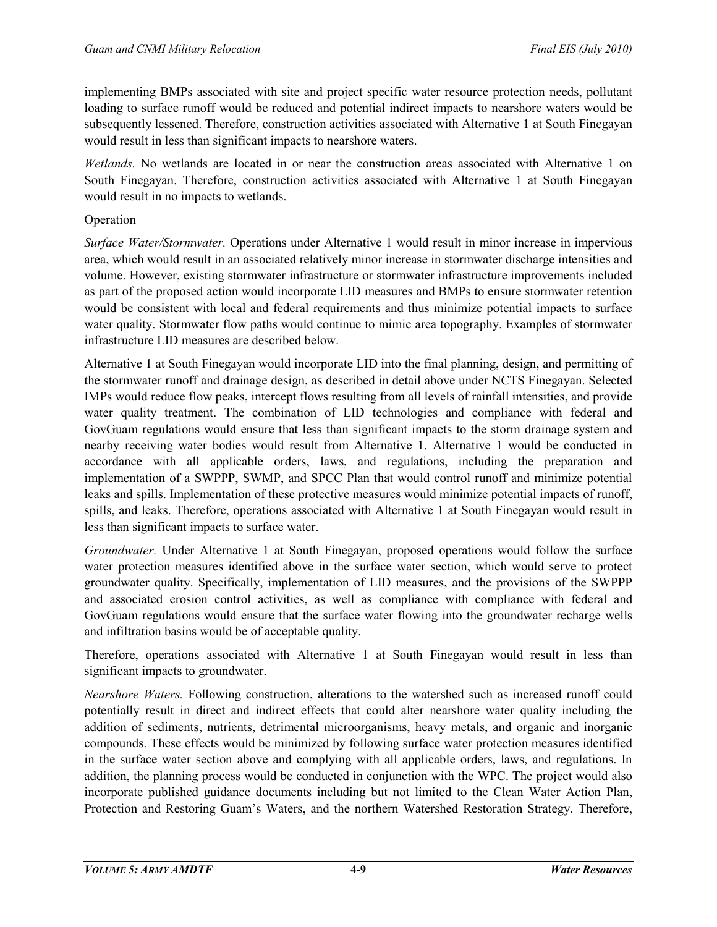implementing BMPs associated with site and project specific water resource protection needs, pollutant loading to surface runoff would be reduced and potential indirect impacts to nearshore waters would be subsequently lessened. Therefore, construction activities associated with Alternative 1 at South Finegayan would result in less than significant impacts to nearshore waters.

*Wetlands.* No wetlands are located in or near the construction areas associated with Alternative 1 on South Finegayan. Therefore, construction activities associated with Alternative 1 at South Finegayan would result in no impacts to wetlands.

# Operation

*Surface Water/Stormwater.* Operations under Alternative 1 would result in minor increase in impervious area, which would result in an associated relatively minor increase in stormwater discharge intensities and volume. However, existing stormwater infrastructure or stormwater infrastructure improvements included as part of the proposed action would incorporate LID measures and BMPs to ensure stormwater retention would be consistent with local and federal requirements and thus minimize potential impacts to surface water quality. Stormwater flow paths would continue to mimic area topography. Examples of stormwater infrastructure LID measures are described below.

Alternative 1 at South Finegayan would incorporate LID into the final planning, design, and permitting of the stormwater runoff and drainage design, as described in detail above under NCTS Finegayan. Selected IMPs would reduce flow peaks, intercept flows resulting from all levels of rainfall intensities, and provide water quality treatment. The combination of LID technologies and compliance with federal and GovGuam regulations would ensure that less than significant impacts to the storm drainage system and nearby receiving water bodies would result from Alternative 1. Alternative 1 would be conducted in accordance with all applicable orders, laws, and regulations, including the preparation and implementation of a SWPPP, SWMP, and SPCC Plan that would control runoff and minimize potential leaks and spills. Implementation of these protective measures would minimize potential impacts of runoff, spills, and leaks. Therefore, operations associated with Alternative 1 at South Finegayan would result in less than significant impacts to surface water.

*Groundwater.* Under Alternative 1 at South Finegayan, proposed operations would follow the surface water protection measures identified above in the surface water section, which would serve to protect groundwater quality. Specifically, implementation of LID measures, and the provisions of the SWPPP and associated erosion control activities, as well as compliance with compliance with federal and GovGuam regulations would ensure that the surface water flowing into the groundwater recharge wells and infiltration basins would be of acceptable quality.

Therefore, operations associated with Alternative 1 at South Finegayan would result in less than significant impacts to groundwater.

*Nearshore Waters.* Following construction, alterations to the watershed such as increased runoff could potentially result in direct and indirect effects that could alter nearshore water quality including the addition of sediments, nutrients, detrimental microorganisms, heavy metals, and organic and inorganic compounds. These effects would be minimized by following surface water protection measures identified in the surface water section above and complying with all applicable orders, laws, and regulations. In addition, the planning process would be conducted in conjunction with the WPC. The project would also incorporate published guidance documents including but not limited to the Clean Water Action Plan, Protection and Restoring Guam's Waters, and the northern Watershed Restoration Strategy. Therefore,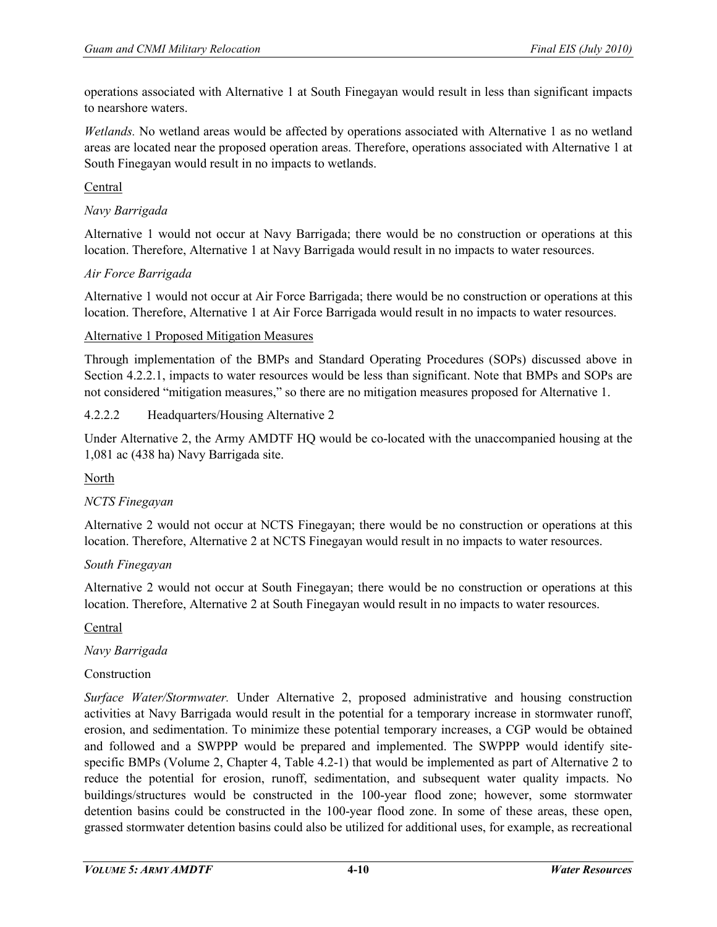operations associated with Alternative 1 at South Finegayan would result in less than significant impacts to nearshore waters.

*Wetlands.* No wetland areas would be affected by operations associated with Alternative 1 as no wetland areas are located near the proposed operation areas. Therefore, operations associated with Alternative 1 at South Finegayan would result in no impacts to wetlands.

### Central

### *Navy Barrigada*

Alternative 1 would not occur at Navy Barrigada; there would be no construction or operations at this location. Therefore, Alternative 1 at Navy Barrigada would result in no impacts to water resources.

# *Air Force Barrigada*

Alternative 1 would not occur at Air Force Barrigada; there would be no construction or operations at this location. Therefore, Alternative 1 at Air Force Barrigada would result in no impacts to water resources.

### Alternative 1 Proposed Mitigation Measures

Through implementation of the BMPs and Standard Operating Procedures (SOPs) discussed above in Section 4.2.2.1, impacts to water resources would be less than significant. Note that BMPs and SOPs are not considered "mitigation measures," so there are no mitigation measures proposed for Alternative 1.

# 4.2.2.2 Headquarters/Housing Alternative 2

Under Alternative 2, the Army AMDTF HQ would be co-located with the unaccompanied housing at the 1,081 ac (438 ha) Navy Barrigada site.

### North

### *NCTS Finegayan*

Alternative 2 would not occur at NCTS Finegayan; there would be no construction or operations at this location. Therefore, Alternative 2 at NCTS Finegayan would result in no impacts to water resources.

### *South Finegayan*

Alternative 2 would not occur at South Finegayan; there would be no construction or operations at this location. Therefore, Alternative 2 at South Finegayan would result in no impacts to water resources.

### Central

*Navy Barrigada* 

### Construction

*Surface Water/Stormwater.* Under Alternative 2, proposed administrative and housing construction activities at Navy Barrigada would result in the potential for a temporary increase in stormwater runoff, erosion, and sedimentation. To minimize these potential temporary increases, a CGP would be obtained and followed and a SWPPP would be prepared and implemented. The SWPPP would identify sitespecific BMPs (Volume 2, Chapter 4, Table 4.2-1) that would be implemented as part of Alternative 2 to reduce the potential for erosion, runoff, sedimentation, and subsequent water quality impacts. No buildings/structures would be constructed in the 100-year flood zone; however, some stormwater detention basins could be constructed in the 100-year flood zone. In some of these areas, these open, grassed stormwater detention basins could also be utilized for additional uses, for example, as recreational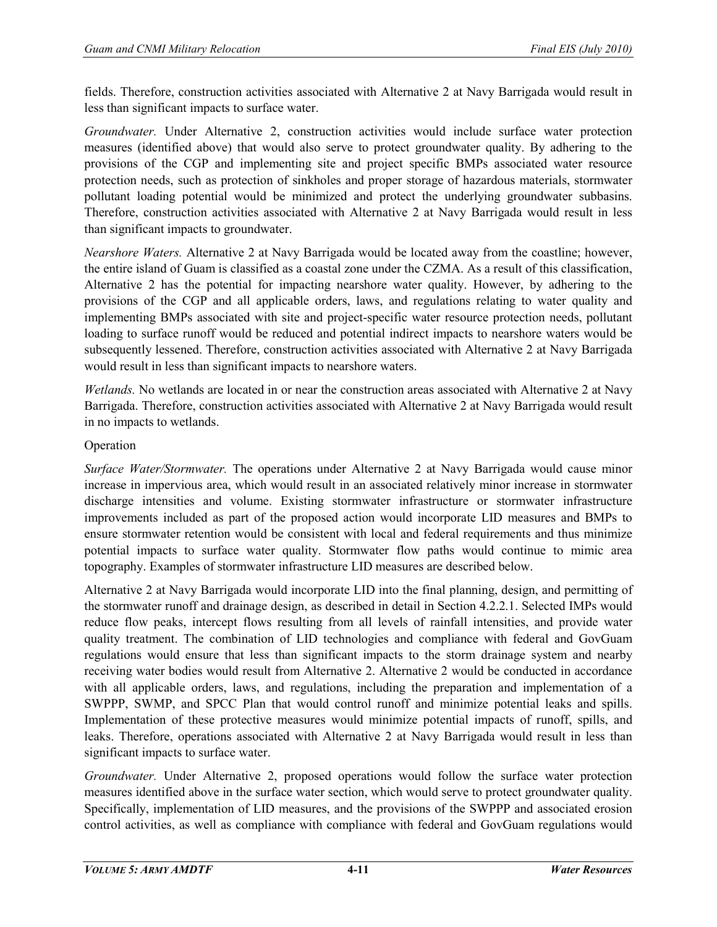fields. Therefore, construction activities associated with Alternative 2 at Navy Barrigada would result in less than significant impacts to surface water.

*Groundwater.* Under Alternative 2, construction activities would include surface water protection measures (identified above) that would also serve to protect groundwater quality. By adhering to the provisions of the CGP and implementing site and project specific BMPs associated water resource protection needs, such as protection of sinkholes and proper storage of hazardous materials, stormwater pollutant loading potential would be minimized and protect the underlying groundwater subbasins. Therefore, construction activities associated with Alternative 2 at Navy Barrigada would result in less than significant impacts to groundwater.

*Nearshore Waters.* Alternative 2 at Navy Barrigada would be located away from the coastline; however, the entire island of Guam is classified as a coastal zone under the CZMA. As a result of this classification, Alternative 2 has the potential for impacting nearshore water quality. However, by adhering to the provisions of the CGP and all applicable orders, laws, and regulations relating to water quality and implementing BMPs associated with site and project-specific water resource protection needs, pollutant loading to surface runoff would be reduced and potential indirect impacts to nearshore waters would be subsequently lessened. Therefore, construction activities associated with Alternative 2 at Navy Barrigada would result in less than significant impacts to nearshore waters.

*Wetlands.* No wetlands are located in or near the construction areas associated with Alternative 2 at Navy Barrigada. Therefore, construction activities associated with Alternative 2 at Navy Barrigada would result in no impacts to wetlands.

# Operation

*Surface Water/Stormwater.* The operations under Alternative 2 at Navy Barrigada would cause minor increase in impervious area, which would result in an associated relatively minor increase in stormwater discharge intensities and volume. Existing stormwater infrastructure or stormwater infrastructure improvements included as part of the proposed action would incorporate LID measures and BMPs to ensure stormwater retention would be consistent with local and federal requirements and thus minimize potential impacts to surface water quality. Stormwater flow paths would continue to mimic area topography. Examples of stormwater infrastructure LID measures are described below.

Alternative 2 at Navy Barrigada would incorporate LID into the final planning, design, and permitting of the stormwater runoff and drainage design, as described in detail in Section 4.2.2.1. Selected IMPs would reduce flow peaks, intercept flows resulting from all levels of rainfall intensities, and provide water quality treatment. The combination of LID technologies and compliance with federal and GovGuam regulations would ensure that less than significant impacts to the storm drainage system and nearby receiving water bodies would result from Alternative 2. Alternative 2 would be conducted in accordance with all applicable orders, laws, and regulations, including the preparation and implementation of a SWPPP, SWMP, and SPCC Plan that would control runoff and minimize potential leaks and spills. Implementation of these protective measures would minimize potential impacts of runoff, spills, and leaks. Therefore, operations associated with Alternative 2 at Navy Barrigada would result in less than significant impacts to surface water.

*Groundwater.* Under Alternative 2, proposed operations would follow the surface water protection measures identified above in the surface water section, which would serve to protect groundwater quality. Specifically, implementation of LID measures, and the provisions of the SWPPP and associated erosion control activities, as well as compliance with compliance with federal and GovGuam regulations would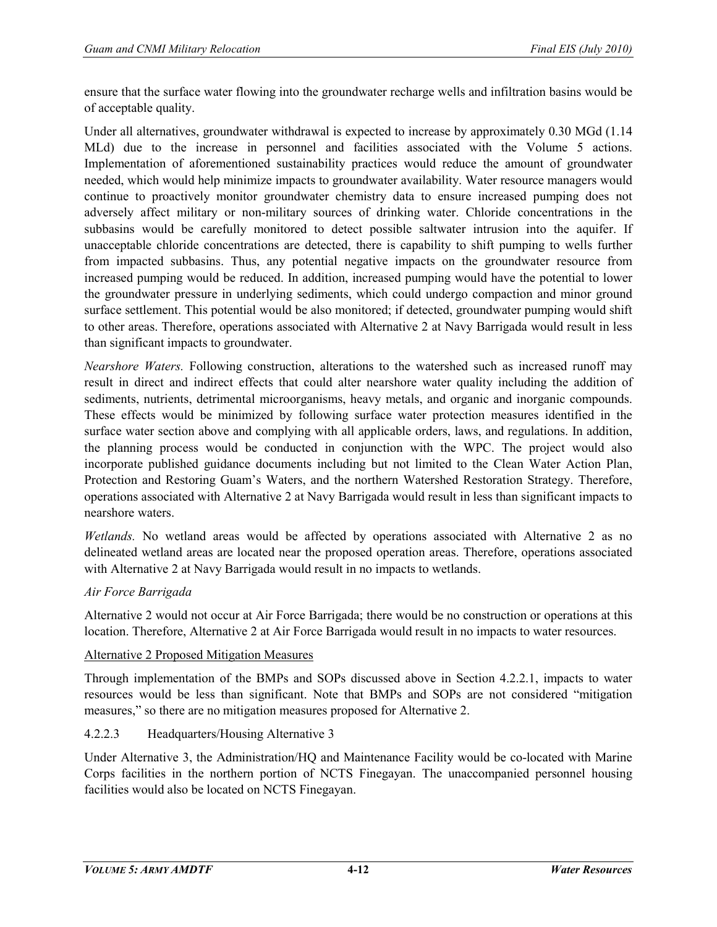ensure that the surface water flowing into the groundwater recharge wells and infiltration basins would be of acceptable quality.

Under all alternatives, groundwater withdrawal is expected to increase by approximately 0.30 MGd (1.14 MLd) due to the increase in personnel and facilities associated with the Volume 5 actions. Implementation of aforementioned sustainability practices would reduce the amount of groundwater needed, which would help minimize impacts to groundwater availability. Water resource managers would continue to proactively monitor groundwater chemistry data to ensure increased pumping does not adversely affect military or non-military sources of drinking water. Chloride concentrations in the subbasins would be carefully monitored to detect possible saltwater intrusion into the aquifer. If unacceptable chloride concentrations are detected, there is capability to shift pumping to wells further from impacted subbasins. Thus, any potential negative impacts on the groundwater resource from increased pumping would be reduced. In addition, increased pumping would have the potential to lower the groundwater pressure in underlying sediments, which could undergo compaction and minor ground surface settlement. This potential would be also monitored; if detected, groundwater pumping would shift to other areas. Therefore, operations associated with Alternative 2 at Navy Barrigada would result in less than significant impacts to groundwater.

*Nearshore Waters.* Following construction, alterations to the watershed such as increased runoff may result in direct and indirect effects that could alter nearshore water quality including the addition of sediments, nutrients, detrimental microorganisms, heavy metals, and organic and inorganic compounds. These effects would be minimized by following surface water protection measures identified in the surface water section above and complying with all applicable orders, laws, and regulations. In addition, the planning process would be conducted in conjunction with the WPC. The project would also incorporate published guidance documents including but not limited to the Clean Water Action Plan, Protection and Restoring Guam's Waters, and the northern Watershed Restoration Strategy. Therefore, operations associated with Alternative 2 at Navy Barrigada would result in less than significant impacts to nearshore waters.

*Wetlands.* No wetland areas would be affected by operations associated with Alternative 2 as no delineated wetland areas are located near the proposed operation areas. Therefore, operations associated with Alternative 2 at Navy Barrigada would result in no impacts to wetlands.

### *Air Force Barrigada*

Alternative 2 would not occur at Air Force Barrigada; there would be no construction or operations at this location. Therefore, Alternative 2 at Air Force Barrigada would result in no impacts to water resources.

### Alternative 2 Proposed Mitigation Measures

Through implementation of the BMPs and SOPs discussed above in Section 4.2.2.1, impacts to water resources would be less than significant. Note that BMPs and SOPs are not considered "mitigation measures," so there are no mitigation measures proposed for Alternative 2.

### 4.2.2.3 Headquarters/Housing Alternative 3

Under Alternative 3, the Administration/HQ and Maintenance Facility would be co-located with Marine Corps facilities in the northern portion of NCTS Finegayan. The unaccompanied personnel housing facilities would also be located on NCTS Finegayan.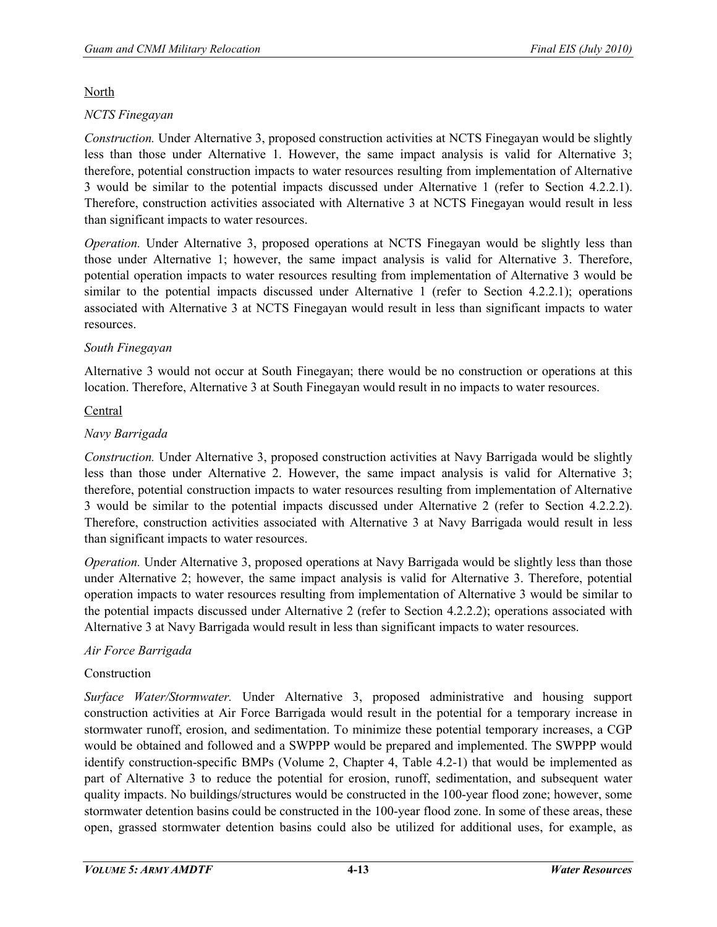### North

# *NCTS Finegayan*

*Construction.* Under Alternative 3, proposed construction activities at NCTS Finegayan would be slightly less than those under Alternative 1. However, the same impact analysis is valid for Alternative 3; therefore, potential construction impacts to water resources resulting from implementation of Alternative 3 would be similar to the potential impacts discussed under Alternative 1 (refer to Section 4.2.2.1). Therefore, construction activities associated with Alternative 3 at NCTS Finegayan would result in less than significant impacts to water resources.

*Operation.* Under Alternative 3, proposed operations at NCTS Finegayan would be slightly less than those under Alternative 1; however, the same impact analysis is valid for Alternative 3. Therefore, potential operation impacts to water resources resulting from implementation of Alternative 3 would be similar to the potential impacts discussed under Alternative 1 (refer to Section 4.2.2.1); operations associated with Alternative 3 at NCTS Finegayan would result in less than significant impacts to water resources.

# *South Finegayan*

Alternative 3 would not occur at South Finegayan; there would be no construction or operations at this location. Therefore, Alternative 3 at South Finegayan would result in no impacts to water resources.

# Central

# *Navy Barrigada*

*Construction.* Under Alternative 3, proposed construction activities at Navy Barrigada would be slightly less than those under Alternative 2. However, the same impact analysis is valid for Alternative 3; therefore, potential construction impacts to water resources resulting from implementation of Alternative 3 would be similar to the potential impacts discussed under Alternative 2 (refer to Section 4.2.2.2). Therefore, construction activities associated with Alternative 3 at Navy Barrigada would result in less than significant impacts to water resources.

*Operation.* Under Alternative 3, proposed operations at Navy Barrigada would be slightly less than those under Alternative 2; however, the same impact analysis is valid for Alternative 3. Therefore, potential operation impacts to water resources resulting from implementation of Alternative 3 would be similar to the potential impacts discussed under Alternative 2 (refer to Section 4.2.2.2); operations associated with Alternative 3 at Navy Barrigada would result in less than significant impacts to water resources.

### *Air Force Barrigada*

### Construction

*Surface Water/Stormwater.* Under Alternative 3, proposed administrative and housing support construction activities at Air Force Barrigada would result in the potential for a temporary increase in stormwater runoff, erosion, and sedimentation. To minimize these potential temporary increases, a CGP would be obtained and followed and a SWPPP would be prepared and implemented. The SWPPP would identify construction-specific BMPs (Volume 2, Chapter 4, Table 4.2-1) that would be implemented as part of Alternative 3 to reduce the potential for erosion, runoff, sedimentation, and subsequent water quality impacts. No buildings/structures would be constructed in the 100-year flood zone; however, some stormwater detention basins could be constructed in the 100-year flood zone. In some of these areas, these open, grassed stormwater detention basins could also be utilized for additional uses, for example, as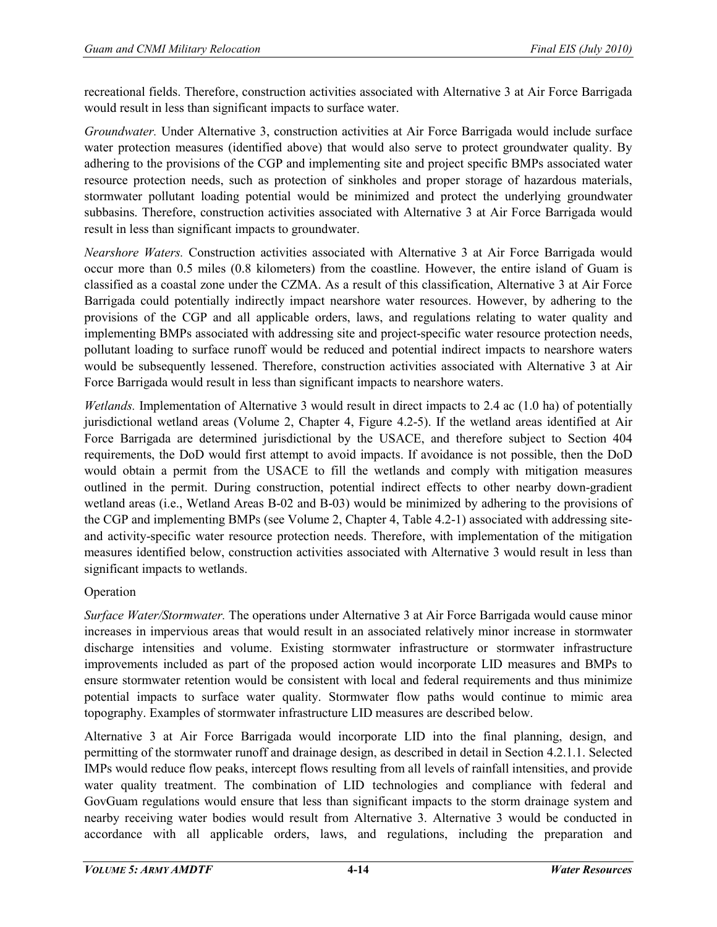recreational fields. Therefore, construction activities associated with Alternative 3 at Air Force Barrigada would result in less than significant impacts to surface water.

*Groundwater.* Under Alternative 3, construction activities at Air Force Barrigada would include surface water protection measures (identified above) that would also serve to protect groundwater quality. By adhering to the provisions of the CGP and implementing site and project specific BMPs associated water resource protection needs, such as protection of sinkholes and proper storage of hazardous materials, stormwater pollutant loading potential would be minimized and protect the underlying groundwater subbasins. Therefore, construction activities associated with Alternative 3 at Air Force Barrigada would result in less than significant impacts to groundwater.

*Nearshore Waters.* Construction activities associated with Alternative 3 at Air Force Barrigada would occur more than 0.5 miles (0.8 kilometers) from the coastline. However, the entire island of Guam is classified as a coastal zone under the CZMA. As a result of this classification, Alternative 3 at Air Force Barrigada could potentially indirectly impact nearshore water resources. However, by adhering to the provisions of the CGP and all applicable orders, laws, and regulations relating to water quality and implementing BMPs associated with addressing site and project-specific water resource protection needs, pollutant loading to surface runoff would be reduced and potential indirect impacts to nearshore waters would be subsequently lessened. Therefore, construction activities associated with Alternative 3 at Air Force Barrigada would result in less than significant impacts to nearshore waters.

*Wetlands.* Implementation of Alternative 3 would result in direct impacts to 2.4 ac (1.0 ha) of potentially jurisdictional wetland areas (Volume 2, Chapter 4, Figure 4.2-5). If the wetland areas identified at Air Force Barrigada are determined jurisdictional by the USACE, and therefore subject to Section 404 requirements, the DoD would first attempt to avoid impacts. If avoidance is not possible, then the DoD would obtain a permit from the USACE to fill the wetlands and comply with mitigation measures outlined in the permit. During construction, potential indirect effects to other nearby down-gradient wetland areas (i.e., Wetland Areas B-02 and B-03) would be minimized by adhering to the provisions of the CGP and implementing BMPs (see Volume 2, Chapter 4, Table 4.2-1) associated with addressing siteand activity-specific water resource protection needs. Therefore, with implementation of the mitigation measures identified below, construction activities associated with Alternative 3 would result in less than significant impacts to wetlands.

# Operation

*Surface Water/Stormwater.* The operations under Alternative 3 at Air Force Barrigada would cause minor increases in impervious areas that would result in an associated relatively minor increase in stormwater discharge intensities and volume. Existing stormwater infrastructure or stormwater infrastructure improvements included as part of the proposed action would incorporate LID measures and BMPs to ensure stormwater retention would be consistent with local and federal requirements and thus minimize potential impacts to surface water quality. Stormwater flow paths would continue to mimic area topography. Examples of stormwater infrastructure LID measures are described below.

Alternative 3 at Air Force Barrigada would incorporate LID into the final planning, design, and permitting of the stormwater runoff and drainage design, as described in detail in Section 4.2.1.1. Selected IMPs would reduce flow peaks, intercept flows resulting from all levels of rainfall intensities, and provide water quality treatment. The combination of LID technologies and compliance with federal and GovGuam regulations would ensure that less than significant impacts to the storm drainage system and nearby receiving water bodies would result from Alternative 3. Alternative 3 would be conducted in accordance with all applicable orders, laws, and regulations, including the preparation and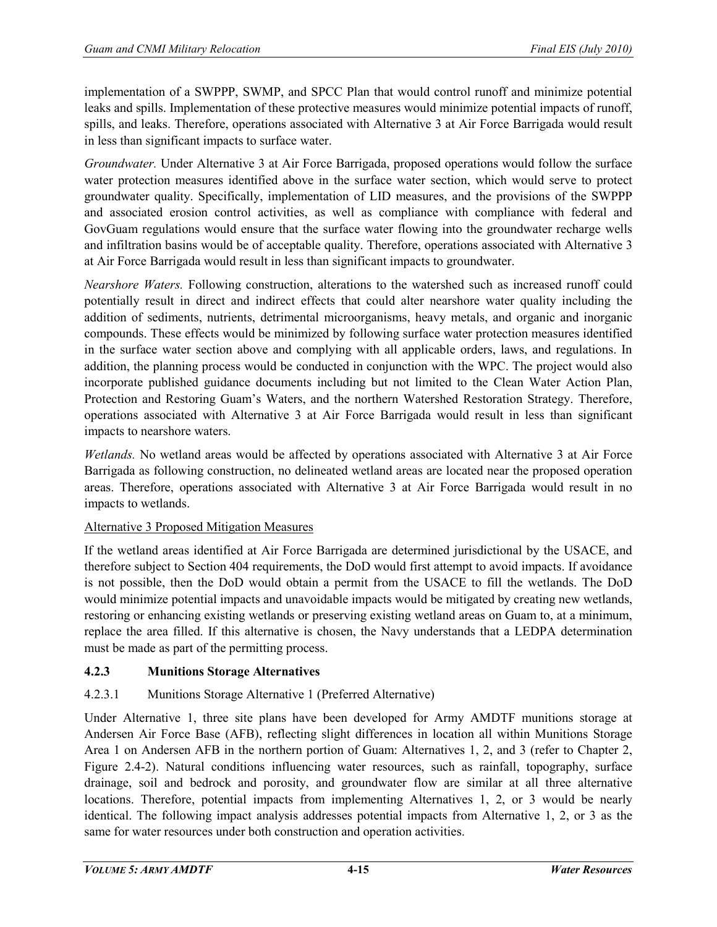implementation of a SWPPP, SWMP, and SPCC Plan that would control runoff and minimize potential leaks and spills. Implementation of these protective measures would minimize potential impacts of runoff, spills, and leaks. Therefore, operations associated with Alternative 3 at Air Force Barrigada would result in less than significant impacts to surface water.

*Groundwater.* Under Alternative 3 at Air Force Barrigada, proposed operations would follow the surface water protection measures identified above in the surface water section, which would serve to protect groundwater quality. Specifically, implementation of LID measures, and the provisions of the SWPPP and associated erosion control activities, as well as compliance with compliance with federal and GovGuam regulations would ensure that the surface water flowing into the groundwater recharge wells and infiltration basins would be of acceptable quality. Therefore, operations associated with Alternative 3 at Air Force Barrigada would result in less than significant impacts to groundwater.

*Nearshore Waters.* Following construction, alterations to the watershed such as increased runoff could potentially result in direct and indirect effects that could alter nearshore water quality including the addition of sediments, nutrients, detrimental microorganisms, heavy metals, and organic and inorganic compounds. These effects would be minimized by following surface water protection measures identified in the surface water section above and complying with all applicable orders, laws, and regulations. In addition, the planning process would be conducted in conjunction with the WPC. The project would also incorporate published guidance documents including but not limited to the Clean Water Action Plan, Protection and Restoring Guam's Waters, and the northern Watershed Restoration Strategy. Therefore, operations associated with Alternative 3 at Air Force Barrigada would result in less than significant impacts to nearshore waters.

*Wetlands.* No wetland areas would be affected by operations associated with Alternative 3 at Air Force Barrigada as following construction, no delineated wetland areas are located near the proposed operation areas. Therefore, operations associated with Alternative 3 at Air Force Barrigada would result in no impacts to wetlands.

### Alternative 3 Proposed Mitigation Measures

If the wetland areas identified at Air Force Barrigada are determined jurisdictional by the USACE, and therefore subject to Section 404 requirements, the DoD would first attempt to avoid impacts. If avoidance is not possible, then the DoD would obtain a permit from the USACE to fill the wetlands. The DoD would minimize potential impacts and unavoidable impacts would be mitigated by creating new wetlands, restoring or enhancing existing wetlands or preserving existing wetland areas on Guam to, at a minimum, replace the area filled. If this alternative is chosen, the Navy understands that a LEDPA determination must be made as part of the permitting process.

# **4.2.3 Munitions Storage Alternatives**

# 4.2.3.1 Munitions Storage Alternative 1 (Preferred Alternative)

Under Alternative 1, three site plans have been developed for Army AMDTF munitions storage at Andersen Air Force Base (AFB), reflecting slight differences in location all within Munitions Storage Area 1 on Andersen AFB in the northern portion of Guam: Alternatives 1, 2, and 3 (refer to Chapter 2, Figure 2.4-2). Natural conditions influencing water resources, such as rainfall, topography, surface drainage, soil and bedrock and porosity, and groundwater flow are similar at all three alternative locations. Therefore, potential impacts from implementing Alternatives 1, 2, or 3 would be nearly identical. The following impact analysis addresses potential impacts from Alternative 1, 2, or 3 as the same for water resources under both construction and operation activities.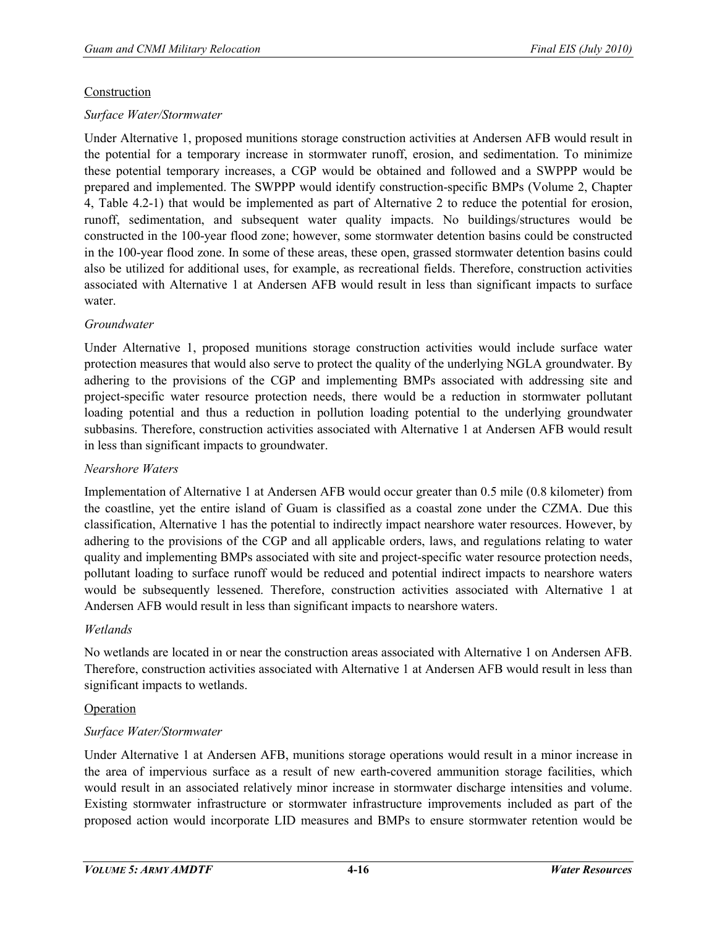### Construction

#### *Surface Water/Stormwater*

Under Alternative 1, proposed munitions storage construction activities at Andersen AFB would result in the potential for a temporary increase in stormwater runoff, erosion, and sedimentation. To minimize these potential temporary increases, a CGP would be obtained and followed and a SWPPP would be prepared and implemented. The SWPPP would identify construction-specific BMPs (Volume 2, Chapter 4, Table 4.2-1) that would be implemented as part of Alternative 2 to reduce the potential for erosion, runoff, sedimentation, and subsequent water quality impacts. No buildings/structures would be constructed in the 100-year flood zone; however, some stormwater detention basins could be constructed in the 100-year flood zone. In some of these areas, these open, grassed stormwater detention basins could also be utilized for additional uses, for example, as recreational fields. Therefore, construction activities associated with Alternative 1 at Andersen AFB would result in less than significant impacts to surface water.

#### *Groundwater*

Under Alternative 1, proposed munitions storage construction activities would include surface water protection measures that would also serve to protect the quality of the underlying NGLA groundwater. By adhering to the provisions of the CGP and implementing BMPs associated with addressing site and project-specific water resource protection needs, there would be a reduction in stormwater pollutant loading potential and thus a reduction in pollution loading potential to the underlying groundwater subbasins. Therefore, construction activities associated with Alternative 1 at Andersen AFB would result in less than significant impacts to groundwater.

#### *Nearshore Waters*

Implementation of Alternative 1 at Andersen AFB would occur greater than 0.5 mile (0.8 kilometer) from the coastline, yet the entire island of Guam is classified as a coastal zone under the CZMA. Due this classification, Alternative 1 has the potential to indirectly impact nearshore water resources. However, by adhering to the provisions of the CGP and all applicable orders, laws, and regulations relating to water quality and implementing BMPs associated with site and project-specific water resource protection needs, pollutant loading to surface runoff would be reduced and potential indirect impacts to nearshore waters would be subsequently lessened. Therefore, construction activities associated with Alternative 1 at Andersen AFB would result in less than significant impacts to nearshore waters.

### *Wetlands*

No wetlands are located in or near the construction areas associated with Alternative 1 on Andersen AFB. Therefore, construction activities associated with Alternative 1 at Andersen AFB would result in less than significant impacts to wetlands.

### **Operation**

### *Surface Water/Stormwater*

Under Alternative 1 at Andersen AFB, munitions storage operations would result in a minor increase in the area of impervious surface as a result of new earth-covered ammunition storage facilities, which would result in an associated relatively minor increase in stormwater discharge intensities and volume. Existing stormwater infrastructure or stormwater infrastructure improvements included as part of the proposed action would incorporate LID measures and BMPs to ensure stormwater retention would be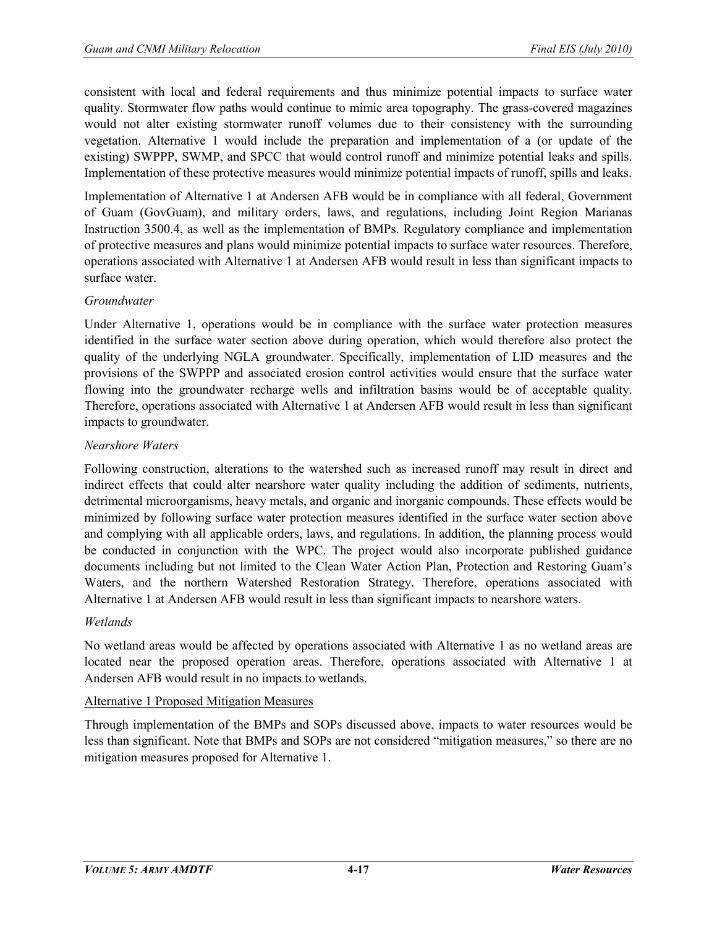consistent with local and federal requirements and thus minimize potential impacts to surface water quality. Stormwater flow paths would continue to mimic area topography. The grass-covered magazines would not alter existing stormwater runoff volumes due to their consistency with the surrounding vegetation. Alternative 1 would include the preparation and implementation of a (or update of the existing) SWPPP, SWMP, and SPCC that would control runoff and minimize potential leaks and spills. Implementation of these protective measures would minimize potential impacts of runoff, spills and leaks.

Implementation of Alternative 1 at Andersen AFB would be in compliance with all federal, Government of Guam (GovGuam), and military orders, laws, and regulations, including Joint Region Marianas Instruction 3500.4, as well as the implementation of BMPs. Regulatory compliance and implementation of protective measures and plans would minimize potential impacts to surface water resources. Therefore, operations associated with Alternative 1 at Andersen AFB would result in less than significant impacts to surface water.

# *Groundwater*

Under Alternative 1, operations would be in compliance with the surface water protection measures identified in the surface water section above during operation, which would therefore also protect the quality of the underlying NGLA groundwater. Specifically, implementation of LID measures and the provisions of the SWPPP and associated erosion control activities would ensure that the surface water flowing into the groundwater recharge wells and infiltration basins would be of acceptable quality. Therefore, operations associated with Alternative 1 at Andersen AFB would result in less than significant impacts to groundwater.

# *Nearshore Waters*

Following construction, alterations to the watershed such as increased runoff may result in direct and indirect effects that could alter nearshore water quality including the addition of sediments, nutrients, detrimental microorganisms, heavy metals, and organic and inorganic compounds. These effects would be minimized by following surface water protection measures identified in the surface water section above and complying with all applicable orders, laws, and regulations. In addition, the planning process would be conducted in conjunction with the WPC. The project would also incorporate published guidance documents including but not limited to the Clean Water Action Plan, Protection and Restoring Guam's Waters, and the northern Watershed Restoration Strategy. Therefore, operations associated with Alternative 1 at Andersen AFB would result in less than significant impacts to nearshore waters.

### *Wetlands*

No wetland areas would be affected by operations associated with Alternative 1 as no wetland areas are located near the proposed operation areas. Therefore, operations associated with Alternative 1 at Andersen AFB would result in no impacts to wetlands.

### Alternative 1 Proposed Mitigation Measures

Through implementation of the BMPs and SOPs discussed above, impacts to water resources would be less than significant. Note that BMPs and SOPs are not considered "mitigation measures," so there are no mitigation measures proposed for Alternative 1.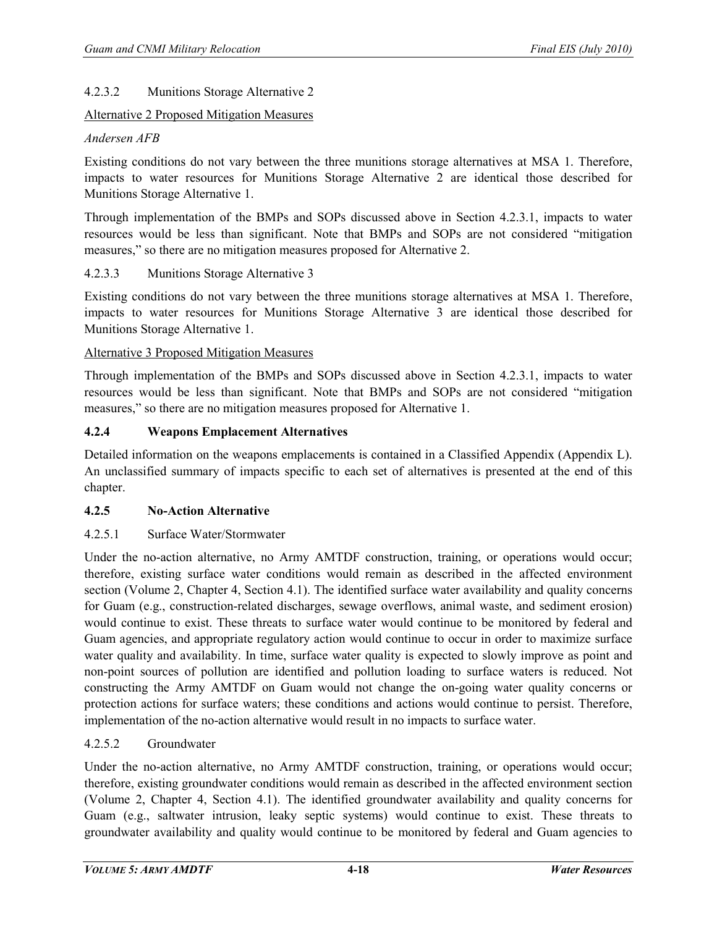# 4.2.3.2 Munitions Storage Alternative 2

### Alternative 2 Proposed Mitigation Measures

#### *Andersen AFB*

Existing conditions do not vary between the three munitions storage alternatives at MSA 1. Therefore, impacts to water resources for Munitions Storage Alternative 2 are identical those described for Munitions Storage Alternative 1.

Through implementation of the BMPs and SOPs discussed above in Section 4.2.3.1, impacts to water resources would be less than significant. Note that BMPs and SOPs are not considered "mitigation measures," so there are no mitigation measures proposed for Alternative 2.

#### 4.2.3.3 Munitions Storage Alternative 3

Existing conditions do not vary between the three munitions storage alternatives at MSA 1. Therefore, impacts to water resources for Munitions Storage Alternative 3 are identical those described for Munitions Storage Alternative 1.

#### Alternative 3 Proposed Mitigation Measures

Through implementation of the BMPs and SOPs discussed above in Section 4.2.3.1, impacts to water resources would be less than significant. Note that BMPs and SOPs are not considered "mitigation measures," so there are no mitigation measures proposed for Alternative 1.

# **4.2.4 Weapons Emplacement Alternatives**

Detailed information on the weapons emplacements is contained in a Classified Appendix (Appendix L). An unclassified summary of impacts specific to each set of alternatives is presented at the end of this chapter.

### **4.2.5 No-Action Alternative**

### 4.2.5.1 Surface Water/Stormwater

Under the no-action alternative, no Army AMTDF construction, training, or operations would occur; therefore, existing surface water conditions would remain as described in the affected environment section (Volume 2, Chapter 4, Section 4.1). The identified surface water availability and quality concerns for Guam (e.g., construction-related discharges, sewage overflows, animal waste, and sediment erosion) would continue to exist. These threats to surface water would continue to be monitored by federal and Guam agencies, and appropriate regulatory action would continue to occur in order to maximize surface water quality and availability. In time, surface water quality is expected to slowly improve as point and non-point sources of pollution are identified and pollution loading to surface waters is reduced. Not constructing the Army AMTDF on Guam would not change the on-going water quality concerns or protection actions for surface waters; these conditions and actions would continue to persist. Therefore, implementation of the no-action alternative would result in no impacts to surface water.

### 4.2.5.2 Groundwater

Under the no-action alternative, no Army AMTDF construction, training, or operations would occur; therefore, existing groundwater conditions would remain as described in the affected environment section (Volume 2, Chapter 4, Section 4.1). The identified groundwater availability and quality concerns for Guam (e.g., saltwater intrusion, leaky septic systems) would continue to exist. These threats to groundwater availability and quality would continue to be monitored by federal and Guam agencies to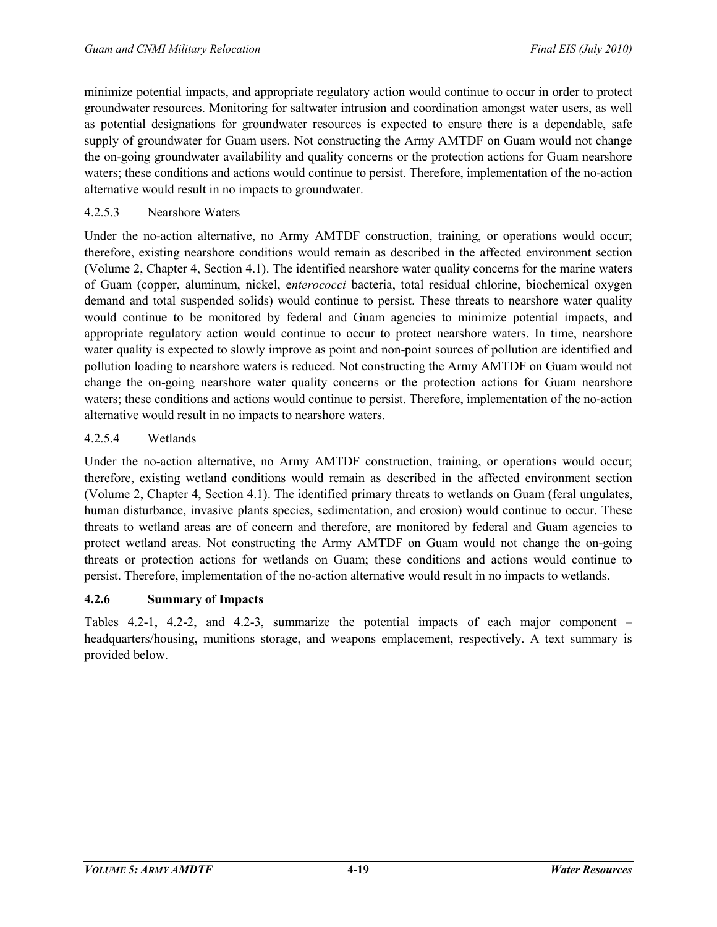minimize potential impacts, and appropriate regulatory action would continue to occur in order to protect groundwater resources. Monitoring for saltwater intrusion and coordination amongst water users, as well as potential designations for groundwater resources is expected to ensure there is a dependable, safe supply of groundwater for Guam users. Not constructing the Army AMTDF on Guam would not change the on-going groundwater availability and quality concerns or the protection actions for Guam nearshore waters; these conditions and actions would continue to persist. Therefore, implementation of the no-action alternative would result in no impacts to groundwater.

### 4.2.5.3 Nearshore Waters

Under the no-action alternative, no Army AMTDF construction, training, or operations would occur; therefore, existing nearshore conditions would remain as described in the affected environment section (Volume 2, Chapter 4, Section 4.1). The identified nearshore water quality concerns for the marine waters of Guam (copper, aluminum, nickel, e*nterococci* bacteria, total residual chlorine, biochemical oxygen demand and total suspended solids) would continue to persist. These threats to nearshore water quality would continue to be monitored by federal and Guam agencies to minimize potential impacts, and appropriate regulatory action would continue to occur to protect nearshore waters. In time, nearshore water quality is expected to slowly improve as point and non-point sources of pollution are identified and pollution loading to nearshore waters is reduced. Not constructing the Army AMTDF on Guam would not change the on-going nearshore water quality concerns or the protection actions for Guam nearshore waters; these conditions and actions would continue to persist. Therefore, implementation of the no-action alternative would result in no impacts to nearshore waters.

# 4.2.5.4 Wetlands

Under the no-action alternative, no Army AMTDF construction, training, or operations would occur; therefore, existing wetland conditions would remain as described in the affected environment section (Volume 2, Chapter 4, Section 4.1). The identified primary threats to wetlands on Guam (feral ungulates, human disturbance, invasive plants species, sedimentation, and erosion) would continue to occur. These threats to wetland areas are of concern and therefore, are monitored by federal and Guam agencies to protect wetland areas. Not constructing the Army AMTDF on Guam would not change the on-going threats or protection actions for wetlands on Guam; these conditions and actions would continue to persist. Therefore, implementation of the no-action alternative would result in no impacts to wetlands.

### **4.2.6 Summary of Impacts**

Tables 4.2-1, 4.2-2, and 4.2-3, summarize the potential impacts of each major component – headquarters/housing, munitions storage, and weapons emplacement, respectively. A text summary is provided below.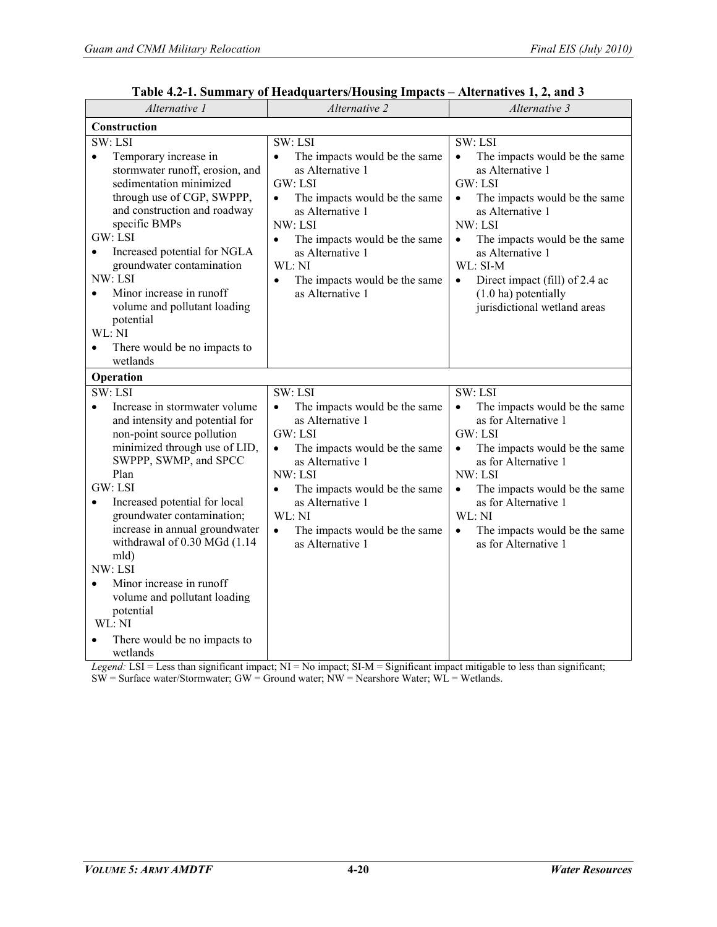| Alternative 1                                                                                                                                                                                                                                                                                                                                                                                                                                                                                                            | Alternative 2                                                                                                                                                                                                                                                                                                   | Alternative 3                                                                                                                                                                                                                                                                                                                                             |
|--------------------------------------------------------------------------------------------------------------------------------------------------------------------------------------------------------------------------------------------------------------------------------------------------------------------------------------------------------------------------------------------------------------------------------------------------------------------------------------------------------------------------|-----------------------------------------------------------------------------------------------------------------------------------------------------------------------------------------------------------------------------------------------------------------------------------------------------------------|-----------------------------------------------------------------------------------------------------------------------------------------------------------------------------------------------------------------------------------------------------------------------------------------------------------------------------------------------------------|
| Construction                                                                                                                                                                                                                                                                                                                                                                                                                                                                                                             |                                                                                                                                                                                                                                                                                                                 |                                                                                                                                                                                                                                                                                                                                                           |
| SW: LSI<br>Temporary increase in<br>٠<br>stormwater runoff, erosion, and<br>sedimentation minimized<br>through use of CGP, SWPPP,<br>and construction and roadway<br>specific BMPs<br>GW: LSI<br>Increased potential for NGLA<br>$\bullet$<br>groundwater contamination<br>NW: LSI<br>Minor increase in runoff<br>$\bullet$<br>volume and pollutant loading<br>potential<br>WL: NI<br>There would be no impacts to<br>٠<br>wetlands                                                                                      | SW: LSI<br>The impacts would be the same<br>$\bullet$<br>as Alternative 1<br>GW·LSI<br>The impacts would be the same<br>$\bullet$<br>as Alternative 1<br>NW: LSI<br>The impacts would be the same<br>$\bullet$<br>as Alternative 1<br>WL: NI<br>The impacts would be the same<br>$\bullet$<br>as Alternative 1  | SW: LSI<br>The impacts would be the same<br>$\bullet$<br>as Alternative 1<br>GW: LSI<br>The impacts would be the same<br>$\bullet$<br>as Alternative 1<br>NW: LSI<br>The impacts would be the same<br>$\bullet$<br>as Alternative 1<br>WL: SI-M<br>Direct impact (fill) of 2.4 ac<br>$\bullet$<br>$(1.0)$ ha) potentially<br>jurisdictional wetland areas |
| Operation                                                                                                                                                                                                                                                                                                                                                                                                                                                                                                                |                                                                                                                                                                                                                                                                                                                 |                                                                                                                                                                                                                                                                                                                                                           |
| $\overline{\text{SW: LSI}}$<br>Increase in stormwater volume<br>$\bullet$<br>and intensity and potential for<br>non-point source pollution<br>minimized through use of LID,<br>SWPPP, SWMP, and SPCC<br>Plan<br>GW: LSI<br>Increased potential for local<br>$\bullet$<br>groundwater contamination;<br>increase in annual groundwater<br>withdrawal of 0.30 MGd (1.14<br>mld)<br>NW: LSI<br>Minor increase in runoff<br>$\bullet$<br>volume and pollutant loading<br>potential<br>WL: NI<br>There would be no impacts to | SW: LSI<br>The impacts would be the same<br>$\bullet$<br>as Alternative 1<br>GW: LSI<br>$\bullet$<br>The impacts would be the same<br>as Alternative 1<br>NW: LSI<br>The impacts would be the same<br>$\bullet$<br>as Alternative 1<br>WL: NI<br>$\bullet$<br>The impacts would be the same<br>as Alternative 1 | SW: LSI<br>The impacts would be the same<br>as for Alternative 1<br>GW: LSI<br>The impacts would be the same<br>$\bullet$<br>as for Alternative 1<br>NW: LSI<br>The impacts would be the same<br>as for Alternative 1<br>WL: NI<br>The impacts would be the same<br>$\bullet$<br>as for Alternative 1                                                     |
| wetlands                                                                                                                                                                                                                                                                                                                                                                                                                                                                                                                 |                                                                                                                                                                                                                                                                                                                 |                                                                                                                                                                                                                                                                                                                                                           |

#### **Table 4.2-1. Summary of Headquarters/Housing Impacts – Alternatives 1, 2, and 3**

*Legend:* LSI = Less than significant impact; NI = No impact; SI-M = Significant impact mitigable to less than significant; SW = Surface water/Stormwater; GW = Ground water; NW = Nearshore Water; WL = Wetlands.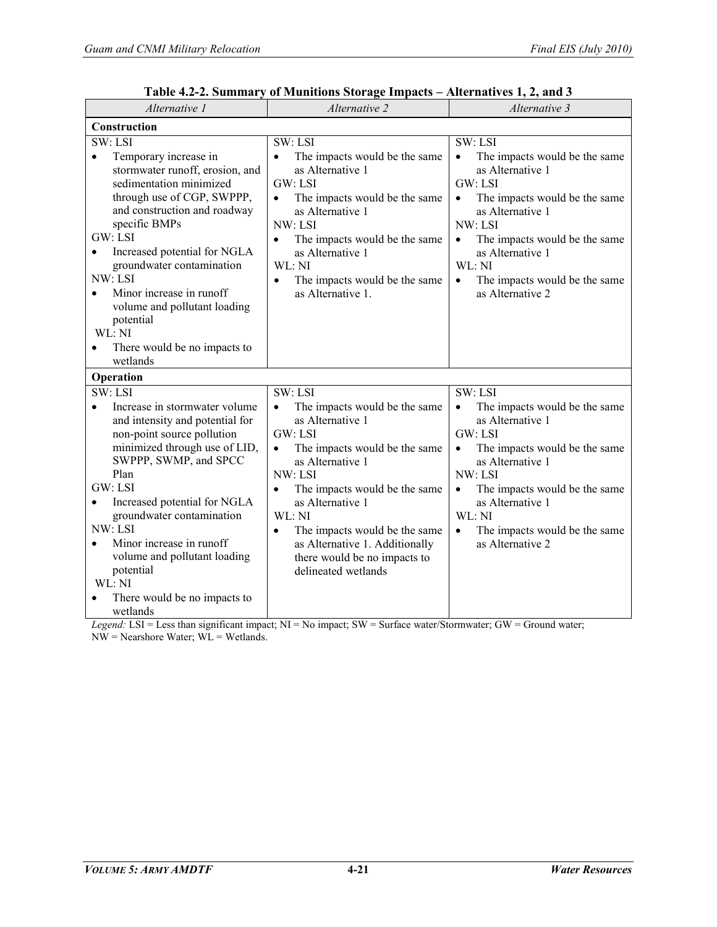| Alternative 1                                                                                                                                                                                                                                                                                                                                                                                                             | Alternative 2                                                                                                                                                                                                                                                                                                                                                                        | Alternative 3                                                                                                                                                                                                                                                                                                   |
|---------------------------------------------------------------------------------------------------------------------------------------------------------------------------------------------------------------------------------------------------------------------------------------------------------------------------------------------------------------------------------------------------------------------------|--------------------------------------------------------------------------------------------------------------------------------------------------------------------------------------------------------------------------------------------------------------------------------------------------------------------------------------------------------------------------------------|-----------------------------------------------------------------------------------------------------------------------------------------------------------------------------------------------------------------------------------------------------------------------------------------------------------------|
| <b>Construction</b>                                                                                                                                                                                                                                                                                                                                                                                                       |                                                                                                                                                                                                                                                                                                                                                                                      |                                                                                                                                                                                                                                                                                                                 |
| SW: LSI<br>Temporary increase in<br>$\bullet$<br>stormwater runoff, erosion, and<br>sedimentation minimized<br>through use of CGP, SWPPP,<br>and construction and roadway<br>specific BMPs<br>GW: LSI<br>Increased potential for NGLA<br>$\bullet$<br>groundwater contamination<br>NW: LSI<br>Minor increase in runoff<br>volume and pollutant loading<br>potential<br>WL: NI<br>There would be no impacts to<br>wetlands | SW: LSI<br>The impacts would be the same<br>$\bullet$<br>as Alternative 1<br>GW: LSI<br>The impacts would be the same<br>$\bullet$<br>as Alternative 1<br>NW: LSI<br>The impacts would be the same<br>$\bullet$<br>as Alternative 1<br>WL: NI<br>The impacts would be the same<br>$\bullet$<br>as Alternative 1.                                                                     | SW: LSI<br>The impacts would be the same<br>$\bullet$<br>as Alternative 1<br>GW: LSI<br>The impacts would be the same<br>$\bullet$<br>as Alternative 1<br>NW: LSI<br>The impacts would be the same<br>$\bullet$<br>as Alternative 1<br>WL: NI<br>The impacts would be the same<br>$\bullet$<br>as Alternative 2 |
| Operation                                                                                                                                                                                                                                                                                                                                                                                                                 |                                                                                                                                                                                                                                                                                                                                                                                      |                                                                                                                                                                                                                                                                                                                 |
| SW: LSI<br>Increase in stormwater volume<br>and intensity and potential for<br>non-point source pollution<br>minimized through use of LID,<br>SWPPP, SWMP, and SPCC<br>Plan<br>GW: LSI<br>Increased potential for NGLA<br>$\bullet$<br>groundwater contamination<br>NW: LSI<br>Minor increase in runoff<br>$\bullet$<br>volume and pollutant loading<br>potential<br>WL: NI<br>There would be no impacts to               | SW: LSI<br>The impacts would be the same<br>$\bullet$<br>as Alternative 1<br>GW: LSI<br>The impacts would be the same<br>$\bullet$<br>as Alternative 1<br>NW: LSI<br>The impacts would be the same<br>$\bullet$<br>as Alternative 1<br>WL: NI<br>The impacts would be the same<br>$\bullet$<br>as Alternative 1. Additionally<br>there would be no impacts to<br>delineated wetlands | SW: LSI<br>The impacts would be the same<br>as Alternative 1<br>GW: LSI<br>The impacts would be the same<br>as Alternative 1<br>NW: LSI<br>The impacts would be the same<br>as Alternative 1<br>WL: NI<br>The impacts would be the same<br>$\bullet$<br>as Alternative 2                                        |
| wetlands                                                                                                                                                                                                                                                                                                                                                                                                                  |                                                                                                                                                                                                                                                                                                                                                                                      |                                                                                                                                                                                                                                                                                                                 |

# **Table 4.2-2. Summary of Munitions Storage Impacts – Alternatives 1, 2, and 3**

*Legend:* LSI = Less than significant impact; NI = No impact; SW = Surface water/Stormwater; GW = Ground water; NW = Nearshore Water; WL = Wetlands.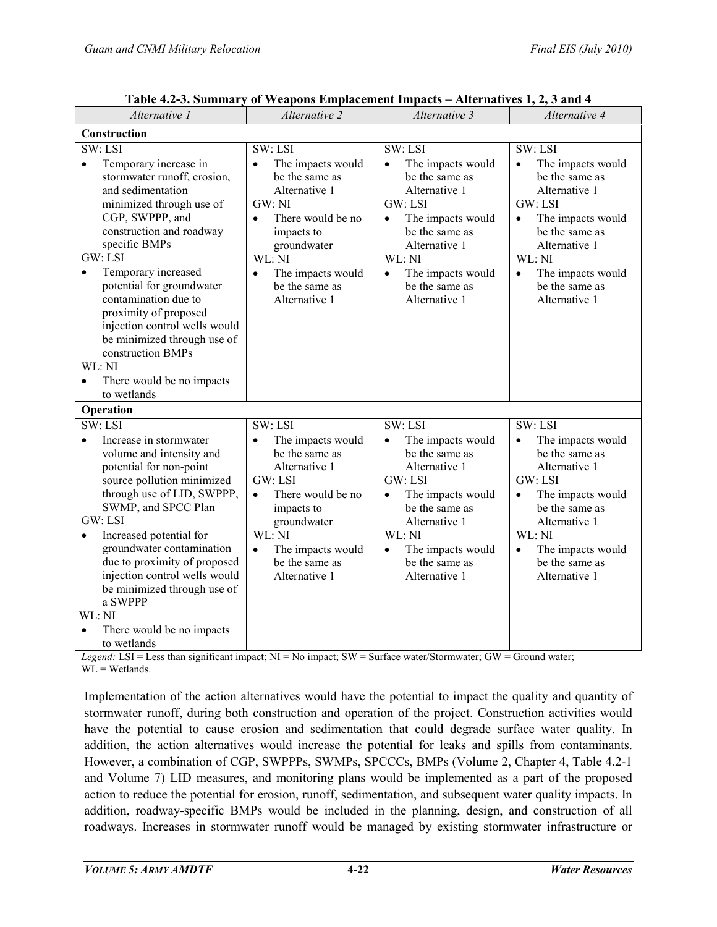| Alternative 1                                                                                                                                                                                                                                                                                                                                                                                                   | "Veupons Emplacement film<br>Alternative 2                                                                                                                                                                                           | Alternative 3                                                                                                                                                                                                                               | Alternative 4                                                                                                                                                                                                                               |
|-----------------------------------------------------------------------------------------------------------------------------------------------------------------------------------------------------------------------------------------------------------------------------------------------------------------------------------------------------------------------------------------------------------------|--------------------------------------------------------------------------------------------------------------------------------------------------------------------------------------------------------------------------------------|---------------------------------------------------------------------------------------------------------------------------------------------------------------------------------------------------------------------------------------------|---------------------------------------------------------------------------------------------------------------------------------------------------------------------------------------------------------------------------------------------|
| Construction                                                                                                                                                                                                                                                                                                                                                                                                    |                                                                                                                                                                                                                                      |                                                                                                                                                                                                                                             |                                                                                                                                                                                                                                             |
| SW: LSI<br>Temporary increase in<br>$\bullet$<br>stormwater runoff, erosion,<br>and sedimentation<br>minimized through use of<br>CGP, SWPPP, and<br>construction and roadway<br>specific BMPs<br>GW: LSI<br>Temporary increased<br>$\bullet$<br>potential for groundwater<br>contamination due to<br>proximity of proposed<br>injection control wells would<br>be minimized through use of<br>construction BMPs | SW: LSI<br>The impacts would<br>$\bullet$<br>be the same as<br>Alternative 1<br>GW: NI<br>There would be no<br>$\bullet$<br>impacts to<br>groundwater<br>WL: NI<br>The impacts would<br>$\bullet$<br>be the same as<br>Alternative 1 | SW: LSI<br>The impacts would<br>$\bullet$<br>be the same as<br>Alternative 1<br>GW: LSI<br>The impacts would<br>$\bullet$<br>be the same as<br>Alternative 1<br>WL: NI<br>The impacts would<br>$\bullet$<br>be the same as<br>Alternative 1 | SW: LSI<br>The impacts would<br>$\bullet$<br>be the same as<br>Alternative 1<br>GW: LSI<br>The impacts would<br>$\bullet$<br>be the same as<br>Alternative 1<br>WL: NI<br>The impacts would<br>$\bullet$<br>be the same as<br>Alternative 1 |
| WL: NI<br>There would be no impacts<br>$\bullet$<br>to wetlands<br>Operation                                                                                                                                                                                                                                                                                                                                    |                                                                                                                                                                                                                                      |                                                                                                                                                                                                                                             |                                                                                                                                                                                                                                             |
| SW: LSI                                                                                                                                                                                                                                                                                                                                                                                                         | SW: LSI                                                                                                                                                                                                                              | SW: LSI                                                                                                                                                                                                                                     | SW: LSI                                                                                                                                                                                                                                     |
| Increase in stormwater<br>$\bullet$<br>volume and intensity and<br>potential for non-point<br>source pollution minimized<br>through use of LID, SWPPP,<br>SWMP, and SPCC Plan<br>GW: LSI<br>Increased potential for<br>٠<br>groundwater contamination                                                                                                                                                           | The impacts would<br>$\bullet$<br>be the same as<br>Alternative 1<br>GW: LSI<br>There would be no<br>$\bullet$<br>impacts to<br>groundwater<br>WL: NI                                                                                | The impacts would<br>$\bullet$<br>be the same as<br>Alternative 1<br>GW: LSI<br>The impacts would<br>$\bullet$<br>be the same as<br>Alternative 1<br>WL: NI                                                                                 | The impacts would<br>$\bullet$<br>be the same as<br>Alternative 1<br>GW: LSI<br>The impacts would<br>$\bullet$<br>be the same as<br>Alternative 1<br>WL: NI                                                                                 |
| due to proximity of proposed<br>injection control wells would<br>be minimized through use of<br>a SWPPP<br>WL: NI<br>There would be no impacts<br>to wetlands                                                                                                                                                                                                                                                   | The impacts would<br>$\bullet$<br>be the same as<br>Alternative 1                                                                                                                                                                    | The impacts would<br>$\bullet$<br>be the same as<br>Alternative 1                                                                                                                                                                           | The impacts would<br>$\bullet$<br>be the same as<br>Alternative 1                                                                                                                                                                           |

**Table 4.2-3. Summary of Weapons Emplacement Impacts – Alternatives 1, 2, 3 and 4** 

*Legend:* LSI = Less than significant impact; NI = No impact; SW = Surface water/Stormwater; GW = Ground water;  $W_L$  = Wetlands.

Implementation of the action alternatives would have the potential to impact the quality and quantity of stormwater runoff, during both construction and operation of the project. Construction activities would have the potential to cause erosion and sedimentation that could degrade surface water quality. In addition, the action alternatives would increase the potential for leaks and spills from contaminants. However, a combination of CGP, SWPPPs, SWMPs, SPCCCs, BMPs (Volume 2, Chapter 4, Table 4.2-1 and Volume 7) LID measures, and monitoring plans would be implemented as a part of the proposed action to reduce the potential for erosion, runoff, sedimentation, and subsequent water quality impacts. In addition, roadway-specific BMPs would be included in the planning, design, and construction of all roadways. Increases in stormwater runoff would be managed by existing stormwater infrastructure or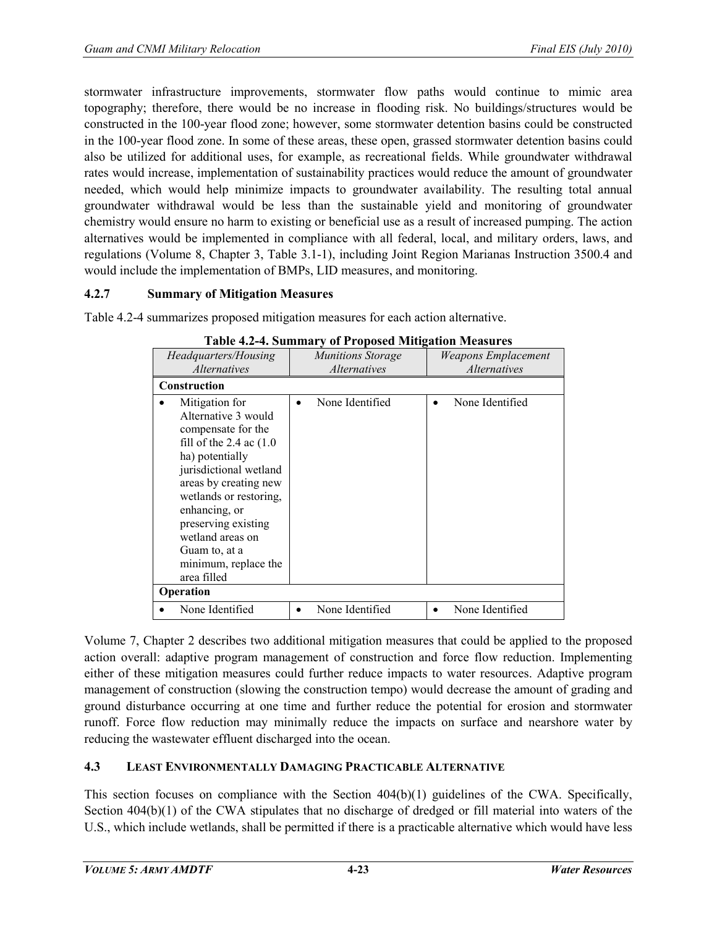stormwater infrastructure improvements, stormwater flow paths would continue to mimic area topography; therefore, there would be no increase in flooding risk. No buildings/structures would be constructed in the 100-year flood zone; however, some stormwater detention basins could be constructed in the 100-year flood zone. In some of these areas, these open, grassed stormwater detention basins could also be utilized for additional uses, for example, as recreational fields. While groundwater withdrawal rates would increase, implementation of sustainability practices would reduce the amount of groundwater needed, which would help minimize impacts to groundwater availability. The resulting total annual groundwater withdrawal would be less than the sustainable yield and monitoring of groundwater chemistry would ensure no harm to existing or beneficial use as a result of increased pumping. The action alternatives would be implemented in compliance with all federal, local, and military orders, laws, and regulations (Volume 8, Chapter 3, Table 3.1-1), including Joint Region Marianas Instruction 3500.4 and would include the implementation of BMPs, LID measures, and monitoring.

### **4.2.7 Summary of Mitigation Measures**

Table 4.2-4 summarizes proposed mitigation measures for each action alternative.

| Headquarters/Housing<br><i>Alternatives</i>                                                                                                                                                                                                                                                                                  | <b>Munitions Storage</b><br><i>Alternatives</i> | Weapons Emplacement<br><i>Alternatives</i> |
|------------------------------------------------------------------------------------------------------------------------------------------------------------------------------------------------------------------------------------------------------------------------------------------------------------------------------|-------------------------------------------------|--------------------------------------------|
| Construction                                                                                                                                                                                                                                                                                                                 |                                                 |                                            |
| Mitigation for<br>Alternative 3 would<br>compensate for the<br>fill of the $2.4$ ac $(1.0)$<br>ha) potentially<br>jurisdictional wetland<br>areas by creating new<br>wetlands or restoring,<br>enhancing, or<br>preserving existing<br>wetland areas on<br>Guam to, at a<br>minimum, replace the<br>area filled<br>Operation | None Identified                                 | None Identified                            |
| None Identified                                                                                                                                                                                                                                                                                                              | None Identified                                 | None Identified                            |

| <b>Table 4.2-4. Summary of Proposed Mitigation Measures</b> |  |  |  |
|-------------------------------------------------------------|--|--|--|
|                                                             |  |  |  |

Volume 7, Chapter 2 describes two additional mitigation measures that could be applied to the proposed action overall: adaptive program management of construction and force flow reduction. Implementing either of these mitigation measures could further reduce impacts to water resources. Adaptive program management of construction (slowing the construction tempo) would decrease the amount of grading and ground disturbance occurring at one time and further reduce the potential for erosion and stormwater runoff. Force flow reduction may minimally reduce the impacts on surface and nearshore water by reducing the wastewater effluent discharged into the ocean.

### **4.3 LEAST ENVIRONMENTALLY DAMAGING PRACTICABLE ALTERNATIVE**

This section focuses on compliance with the Section 404(b)(1) guidelines of the CWA. Specifically, Section 404(b)(1) of the CWA stipulates that no discharge of dredged or fill material into waters of the U.S., which include wetlands, shall be permitted if there is a practicable alternative which would have less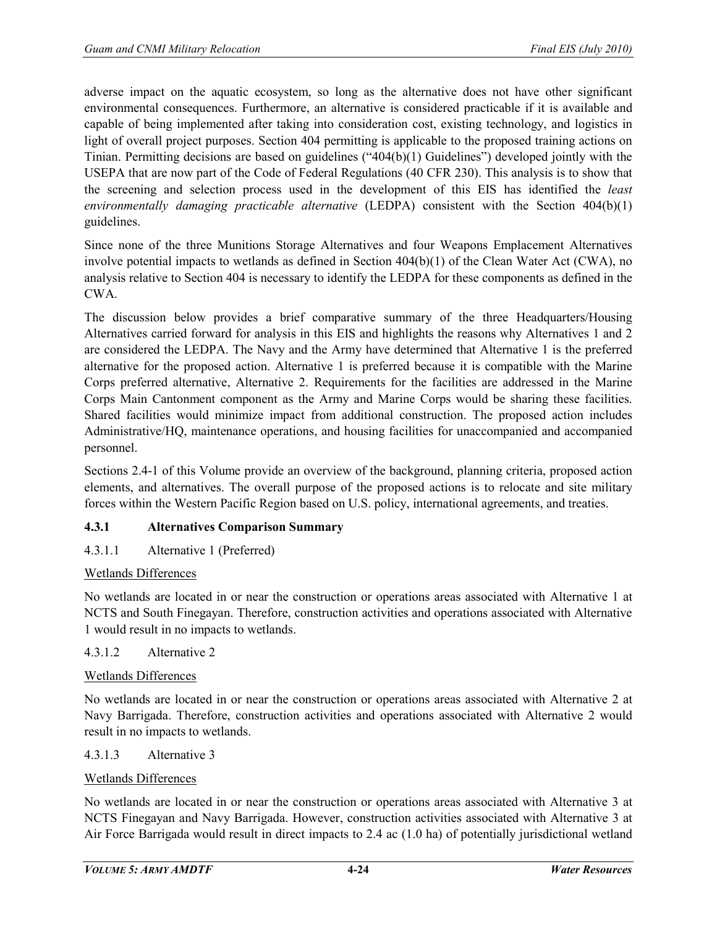adverse impact on the aquatic ecosystem, so long as the alternative does not have other significant environmental consequences. Furthermore, an alternative is considered practicable if it is available and capable of being implemented after taking into consideration cost, existing technology, and logistics in light of overall project purposes. Section 404 permitting is applicable to the proposed training actions on Tinian. Permitting decisions are based on guidelines ("404(b)(1) Guidelines") developed jointly with the USEPA that are now part of the Code of Federal Regulations (40 CFR 230). This analysis is to show that the screening and selection process used in the development of this EIS has identified the *least environmentally damaging practicable alternative* (LEDPA) consistent with the Section 404(b)(1) guidelines.

Since none of the three Munitions Storage Alternatives and four Weapons Emplacement Alternatives involve potential impacts to wetlands as defined in Section 404(b)(1) of the Clean Water Act (CWA), no analysis relative to Section 404 is necessary to identify the LEDPA for these components as defined in the CWA.

The discussion below provides a brief comparative summary of the three Headquarters/Housing Alternatives carried forward for analysis in this EIS and highlights the reasons why Alternatives 1 and 2 are considered the LEDPA. The Navy and the Army have determined that Alternative 1 is the preferred alternative for the proposed action. Alternative 1 is preferred because it is compatible with the Marine Corps preferred alternative, Alternative 2. Requirements for the facilities are addressed in the Marine Corps Main Cantonment component as the Army and Marine Corps would be sharing these facilities. Shared facilities would minimize impact from additional construction. The proposed action includes Administrative/HQ, maintenance operations, and housing facilities for unaccompanied and accompanied personnel.

Sections 2.4-1 of this Volume provide an overview of the background, planning criteria, proposed action elements, and alternatives. The overall purpose of the proposed actions is to relocate and site military forces within the Western Pacific Region based on U.S. policy, international agreements, and treaties.

### **4.3.1 Alternatives Comparison Summary**

# 4.3.1.1 Alternative 1 (Preferred)

### Wetlands Differences

No wetlands are located in or near the construction or operations areas associated with Alternative 1 at NCTS and South Finegayan. Therefore, construction activities and operations associated with Alternative 1 would result in no impacts to wetlands.

### 4.3.1.2 Alternative 2

### Wetlands Differences

No wetlands are located in or near the construction or operations areas associated with Alternative 2 at Navy Barrigada. Therefore, construction activities and operations associated with Alternative 2 would result in no impacts to wetlands.

### 4.3.1.3 Alternative 3

### Wetlands Differences

No wetlands are located in or near the construction or operations areas associated with Alternative 3 at NCTS Finegayan and Navy Barrigada. However, construction activities associated with Alternative 3 at Air Force Barrigada would result in direct impacts to 2.4 ac (1.0 ha) of potentially jurisdictional wetland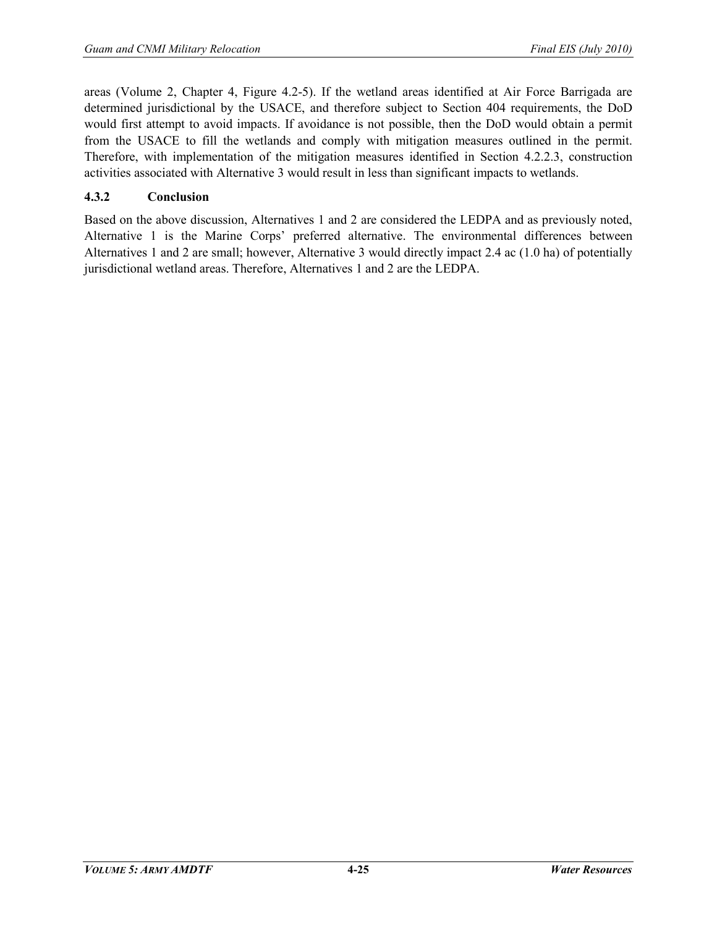areas (Volume 2, Chapter 4, Figure 4.2-5). If the wetland areas identified at Air Force Barrigada are determined jurisdictional by the USACE, and therefore subject to Section 404 requirements, the DoD would first attempt to avoid impacts. If avoidance is not possible, then the DoD would obtain a permit from the USACE to fill the wetlands and comply with mitigation measures outlined in the permit. Therefore, with implementation of the mitigation measures identified in Section 4.2.2.3, construction activities associated with Alternative 3 would result in less than significant impacts to wetlands.

# **4.3.2 Conclusion**

Based on the above discussion, Alternatives 1 and 2 are considered the LEDPA and as previously noted, Alternative 1 is the Marine Corps' preferred alternative. The environmental differences between Alternatives 1 and 2 are small; however, Alternative 3 would directly impact 2.4 ac (1.0 ha) of potentially jurisdictional wetland areas. Therefore, Alternatives 1 and 2 are the LEDPA.